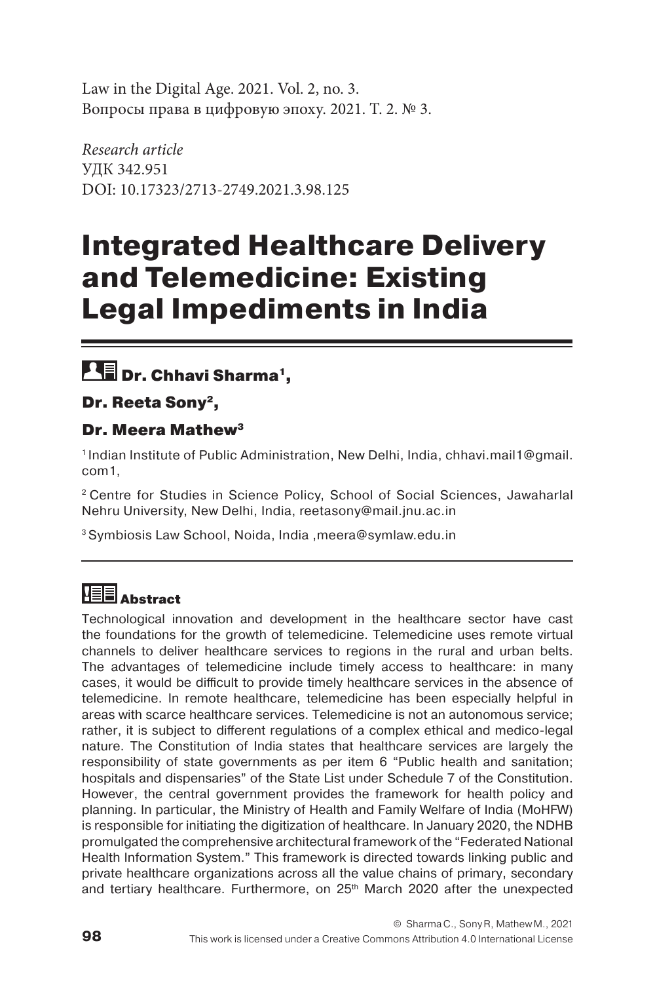Law in the Digital Age. 2021. Vol. 2, no. 3. Вопросы права в цифровую эпоху. 2021. Т. 2. № 3.

*Research article* УДК 342.951 DOI: 10.17323/2713-2749.2021.3.98.125

# **Integrated Healthcare Delivery and Telemedicine: Existing Legal Impediments in India**

## **DE** Dr. Chhavi Sharma<sup>1</sup>,

Dr. Reeta Sony<sup>2</sup>,

## Dr. Meera Mathew3

1 Indian Institute of Public Administration, New Delhi, India, chhavi.mail1@gmail. com1,

2 Centre for Studies in Science Policy, School of Social Sciences, Jawaharlal Nehru University, New Delhi, India, reetasony@mail.jnu.ac.in

3 Symbiosis Law School, Noida, India ,meera@symlaw.edu.in

## **HEE** Abstract

Technological innovation and development in the healthcare sector have cast the foundations for the growth of telemedicine. Telemedicine uses remote virtual channels to deliver healthcare services to regions in the rural and urban belts. The advantages of telemedicine include timely access to healthcare: in many cases, it would be difficult to provide timely healthcare services in the absence of telemedicine. In remote healthcare, telemedicine has been especially helpful in areas with scarce healthcare services. Telemedicine is not an autonomous service; rather, it is subject to different regulations of a complex ethical and medico-legal nature. The Constitution of India states that healthcare services are largely the responsibility of state governments as per item 6 "Public health and sanitation; hospitals and dispensaries" of the State List under Schedule 7 of the Constitution. However, the central government provides the framework for health policy and planning. In particular, the Ministry of Health and Family Welfare of India (MoHFW) is responsible for initiating the digitization of healthcare. In January 2020, the NDHB promulgated the comprehensive architectural framework of the "Federated National Health Information System." This framework is directed towards linking public and private healthcare organizations across all the value chains of primary, secondary and tertiary healthcare. Furthermore, on 25<sup>th</sup> March 2020 after the unexpected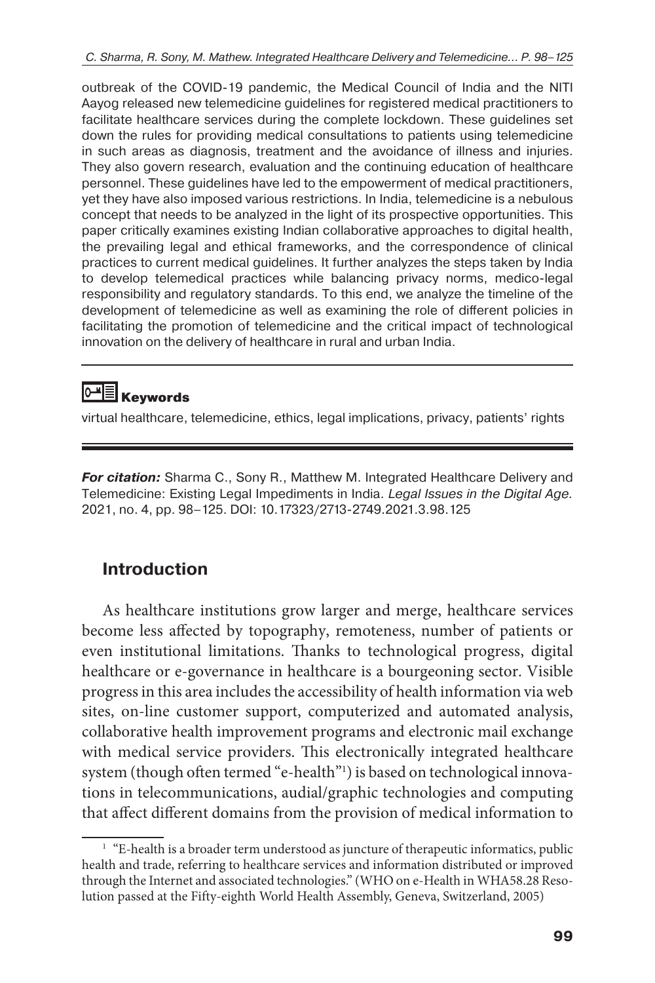outbreak of the COVID-19 pandemic, the Medical Council of India and the NITI Aayog released new telemedicine guidelines for registered medical practitioners to facilitate healthcare services during the complete lockdown. These guidelines set down the rules for providing medical consultations to patients using telemedicine in such areas as diagnosis, treatment and the avoidance of illness and injuries. They also govern research, evaluation and the continuing education of healthcare personnel. These guidelines have led to the empowerment of medical practitioners, yet they have also imposed various restrictions. In India, telemedicine is a nebulous concept that needs to be analyzed in the light of its prospective opportunities. This paper critically examines existing Indian collaborative approaches to digital health, the prevailing legal and ethical frameworks, and the correspondence of clinical practices to current medical guidelines. It further analyzes the steps taken by India to develop telemedical practices while balancing privacy norms, medico-legal responsibility and regulatory standards. To this end, we analyze the timeline of the development of telemedicine as well as examining the role of different policies in facilitating the promotion of telemedicine and the critical impact of technological innovation on the delivery of healthcare in rural and urban India.

## **ME** Keywords

virtual healthcare, telemedicine, ethics, legal implications, privacy, patients' rights

**For citation:** Sharma C., Sony R., Matthew M. Integrated Healthcare Delivery and Telemedicine: Existing Legal Impediments in India. *Legal Issues in the Digital Age.*  2021, no. 4, pp. 98–125. DOI: 10.17323/2713-2749.2021.3.98.125

## **Introduction**

As healthcare institutions grow larger and merge, healthcare services become less affected by topography, remoteness, number of patients or even institutional limitations. Thanks to technological progress, digital healthcare or e-governance in healthcare is a bourgeoning sector. Visible progress in this area includes the accessibility of health information viaweb sites, on-line customer support, computerized and automated analysis, collaborative health improvement programs and electronic mail exchange with medical service providers. This electronically integrated healthcare system (though often termed "e-health"1 ) is based on technological innovations in telecommunications, audial/graphic technologies and computing that affect different domains from the provision of medical information to

<sup>&</sup>lt;sup>1</sup> "E-health is a broader term understood as juncture of therapeutic informatics, public health and trade, referring to healthcare services and information distributed or improved through the Internet and associated technologies." (WHO on e-Health in WHA58.28 Resolution passed at the Fifty-eighth World Health Assembly, Geneva, Switzerland, 2005)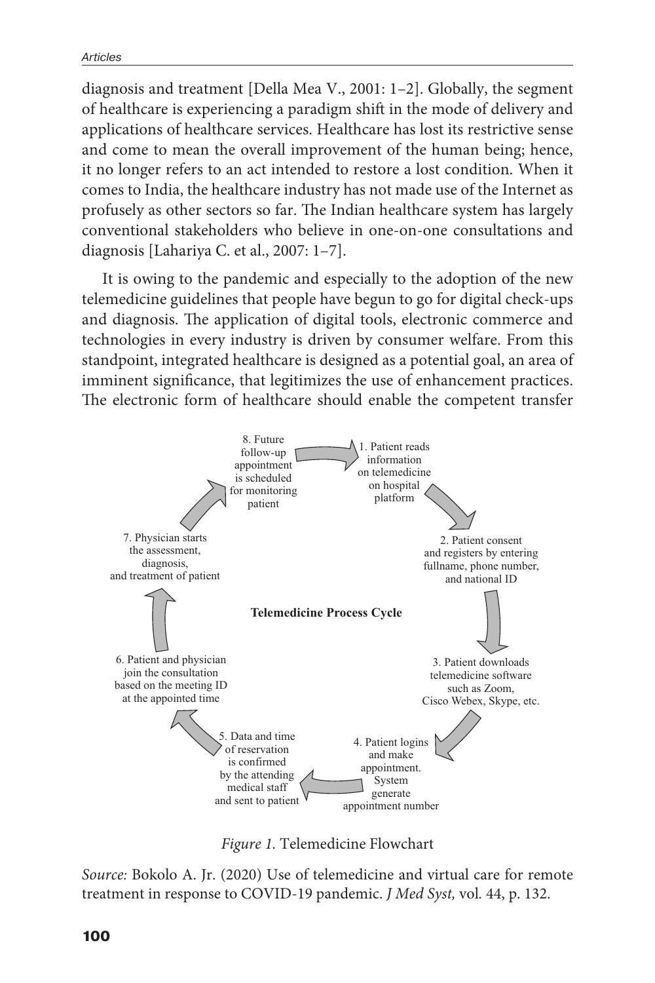diagnosis and treatment [Della Mea V., 2001: 1–2]. Globally, the segment of healthcare is experiencing a paradigm shift in the mode of delivery and applications of healthcare services. Healthcare has lost its restrictive sense and come to mean the overall improvement of the human being; hence, it no longer refers to an act intended to restore a lost condition. When it comes to India, the healthcare industry has not made use of the Internet as profusely as other sectors so far. The Indian healthcare system has largely conventional stakeholders who believe in one-on-one consultations and diagnosis [Lahariya C. et al., 2007: 1–7].

It is owing to the pandemic and especially to the adoption of the new telemedicine guidelines that people have begun to go for digital check-ups and diagnosis. The application of digital tools, electronic commerce and technologies in every industry is driven by consumer welfare. From this standpoint, integrated healthcare is designed as a potential goal, an area of imminent significance, that legitimizes the use of enhancement practices. The electronic form of healthcare should enable the competent transfer



*Figure 1.* Telemedicine Flowchart

*Source:* Bokolo A. Jr. (2020) Use of telemedicine and virtual care for remote treatment in response to COVID-19 pandemic. *J Med Syst,* vol*.* 44, p. 132.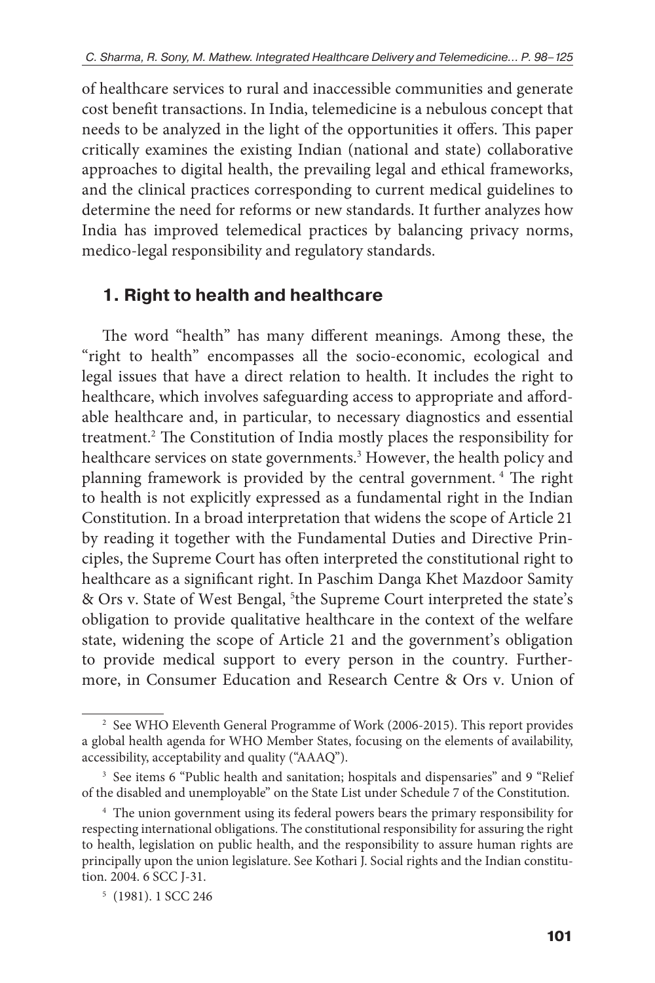of healthcare services to rural and inaccessible communities and generate cost benefit transactions. In India, telemedicine is a nebulous concept that needs to be analyzed in the light of the opportunities it offers. This paper critically examines the existing Indian (national and state) collaborative approaches to digital health, the prevailing legal and ethical frameworks, and the clinical practices corresponding to current medical guidelines to determine the need for reforms or new standards. It further analyzes how India has improved telemedical practices by balancing privacy norms, medico-legal responsibility and regulatory standards.

## **1. Right to health and healthcare**

The word "health" has many different meanings. Among these, the "right to health" encompasses all the socio-economic, ecological and legal issues that have a direct relation to health. It includes the right to healthcare, which involves safeguarding access to appropriate and affordable healthcare and, in particular, to necessary diagnostics and essential treatment.2 The Constitution of India mostly places the responsibility for healthcare services on state governments.3 However, the health policy and planning framework is provided by the central government. <sup>4</sup> The right to health is not explicitly expressed as a fundamental right in the Indian Constitution. In a broad interpretation that widens the scope of Article 21 by reading it together with the Fundamental Duties and Directive Principles, the Supreme Court has often interpreted the constitutional right to healthcare as a significant right. In Paschim Danga Khet Mazdoor Samity & Ors v. State of West Bengal, <sup>5</sup>the Supreme Court interpreted the state's obligation to provide qualitative healthcare in the context of the welfare state, widening the scope of Article 21 and the government's obligation to provide medical support to every person in the country. Furthermore, in Consumer Education and Research Centre & Ors v. Union of

<sup>&</sup>lt;sup>2</sup> See WHO Eleventh General Programme of Work (2006-2015). This report provides a global health agenda for WHO Member States, focusing on the elements of availability, accessibility, acceptability and quality ("AAAQ").

<sup>&</sup>lt;sup>3</sup> See items 6 "Public health and sanitation; hospitals and dispensaries" and 9 "Relief of the disabled and unemployable" on the State List under Schedule 7 of the Constitution.

<sup>&</sup>lt;sup>4</sup> The union government using its federal powers bears the primary responsibility for respecting international obligations. The constitutional responsibility for assuring the right to health, legislation on public health, and the responsibility to assure human rights are principally upon the union legislature. See Kothari J. Social rights and the Indian constitution. 2004. 6 SCC J-31.

<sup>5</sup> (1981). 1 SCC 246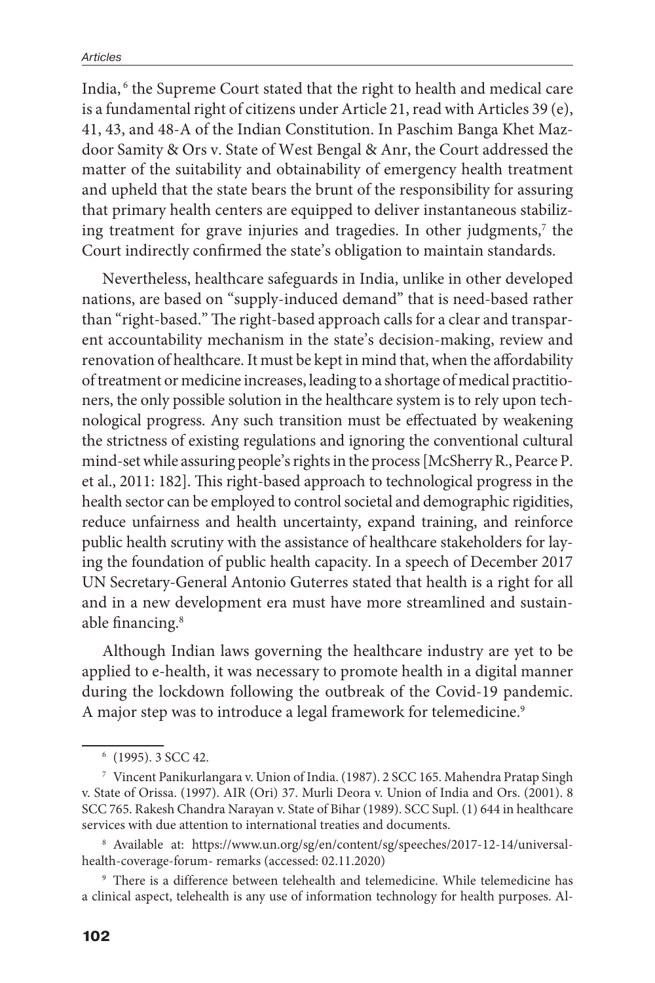India, <sup>6</sup> the Supreme Court stated that the right to health and medical care is a fundamental right of citizens under Article 21, read with Articles 39 (e), 41, 43, and 48-A of the Indian Constitution. In Paschim Banga Khet Mazdoor Samity & Ors v. State of West Bengal & Anr, the Court addressed the matter of the suitability and obtainability of emergency health treatment and upheld that the state bears the brunt of the responsibility for assuring that primary health centers are equipped to deliver instantaneous stabilizing treatment for grave injuries and tragedies. In other judgments,<sup>7</sup> the Court indirectly confirmed the state's obligation to maintain standards.

Nevertheless, healthcare safeguards in India, unlike in other developed nations, are based on "supply-induced demand" that is need-based rather than "right-based." The right-based approach calls for a clear and transparent accountability mechanism in the state's decision-making, review and renovation of healthcare. It must be kept in mind that, when the affordability of treatment or medicine increases, leading to a shortage of medical practitioners, the only possible solution in the healthcare system is to rely upon technological progress. Any such transition must be effectuated by weakening the strictness of existing regulations and ignoring the conventional cultural mind-set while assuring people's rights in the process [McSherry R., Pearce P. et al., 2011: 182]. This right-based approach to technological progress in the health sector can be employed to control societal and demographic rigidities, reduce unfairness and health uncertainty, expand training, and reinforce public health scrutiny with the assistance of healthcare stakeholders for laying the foundation of public health capacity. In a speech of December 2017 UN Secretary-General Antonio Guterres stated that health is a right for all and in a new development era must have more streamlined and sustainable financing.<sup>8</sup>

Although Indian laws governing the healthcare industry are yet to be applied to e-health, it was necessary to promote health in a digital manner during the lockdown following the outbreak of the Covid-19 pandemic. A major step was to introduce a legal framework for telemedicine.<sup>9</sup>

<sup>8</sup> Available at: https://www.un.org/sg/en/content/sg/speeches/2017-12-14/universalhealth-coverage-forum- remarks (accessed: 02.11.2020)

<sup>9</sup> There is a difference between telehealth and telemedicine. While telemedicine has a clinical aspect, telehealth is any use of information technology for health purposes. Al-

<sup>6</sup> (1995). 3 SCC 42.

<sup>7</sup> Vincent Panikurlangara v. Union of India. (1987). 2 SCC 165. Mahendra Pratap Singh v. State of Orissa. (1997). AIR (Ori) 37. Murli Deora v. Union of India and Ors. (2001). 8 SCC 765. Rakesh Chandra Narayan v. State of Bihar (1989). SCC Supl. (1) 644 in healthcare services with due attention to international treaties and documents.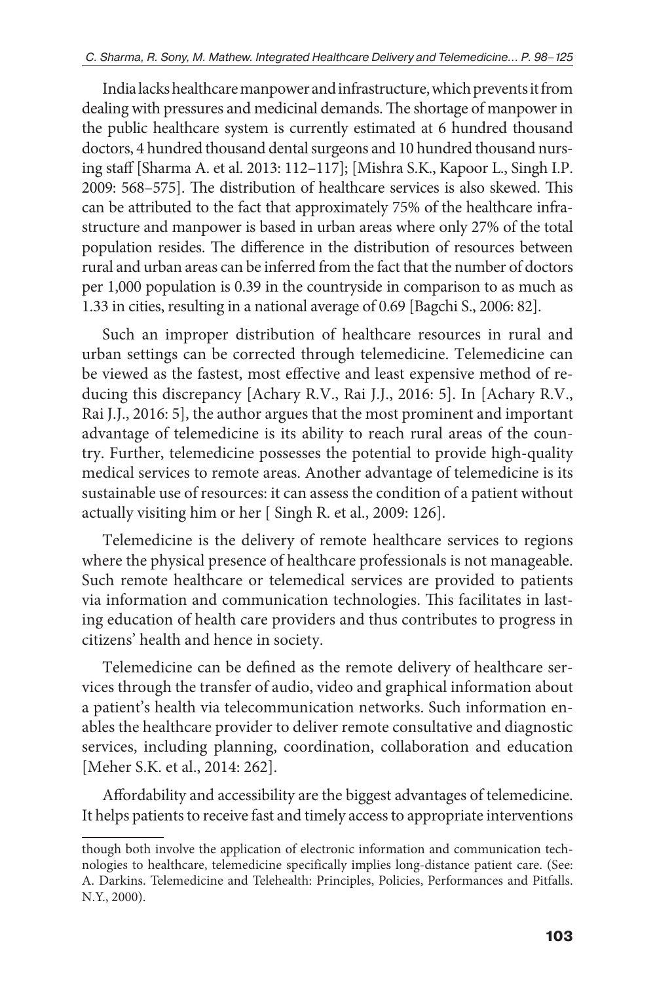India lacks healthcare manpower and infrastructure, which prevents it from dealing with pressures and medicinal demands. The shortage of manpower in the public healthcare system is currently estimated at 6 hundred thousand doctors, 4 hundred thousand dental surgeons and 10 hundred thousand nursing staff [Sharma A. et al. 2013: 112–117]; [Mishra S.K., Kapoor L., Singh I.P. 2009: 568–575]. The distribution of healthcare services is also skewed. This can be attributed to the fact that approximately 75% of the healthcare infrastructure and manpower is based in urban areas where only 27% of the total population resides. The difference in the distribution of resources between rural and urban areas can be inferred from the fact that the number of doctors per 1,000 population is 0.39 in the countryside in comparison to as much as 1.33 in cities, resulting in a national average of 0.69 [Bagchi S., 2006: 82].

Such an improper distribution of healthcare resources in rural and urban settings can be corrected through telemedicine. Telemedicine can be viewed as the fastest, most effective and least expensive method of reducing this discrepancy [Achary R.V., Rai J.J., 2016: 5]. In [Achary R.V., Rai J.J., 2016: 5], the author argues that the most prominent and important advantage of telemedicine is its ability to reach rural areas of the country. Further, telemedicine possesses the potential to provide high-quality medical services to remote areas. Another advantage of telemedicine is its sustainable use of resources: it can assess the condition of a patient without actually visiting him or her [ Singh R. et al., 2009: 126].

Telemedicine is the delivery of remote healthcare services to regions where the physical presence of healthcare professionals is not manageable. Such remote healthcare or telemedical services are provided to patients via information and communication technologies. This facilitates in lasting education of health care providers and thus contributes to progress in citizens' health and hence in society.

Telemedicine can be defined as the remote delivery of healthcare services through the transfer of audio, video and graphical information about a patient's health via telecommunication networks. Such information enables the healthcare provider to deliver remote consultative and diagnostic services, including planning, coordination, collaboration and education [Meher S.K. et al., 2014: 262].

Affordability and accessibility are the biggest advantages of telemedicine. It helps patients to receive fast and timely access to appropriate interventions

though both involve the application of electronic information and communication technologies to healthcare, telemedicine specifically implies long-distance patient care. (See: A. Darkins. Telemedicine and Telehealth: Principles, Policies, Performances and Pitfalls. N.Y., 2000).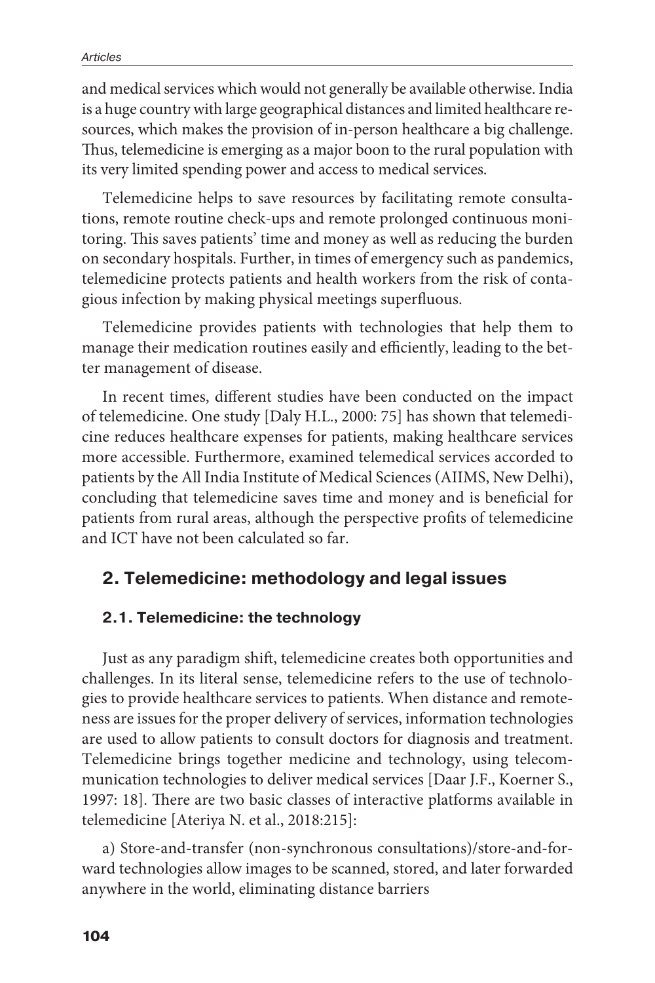and medical services which would not generally be available otherwise. India is a huge country with large geographical distances and limited healthcare resources, which makes the provision of in-person healthcare a big challenge. Thus, telemedicine is emerging as a major boon to the rural population with its very limited spending power and access to medical services.

Telemedicine helps to save resources by facilitating remote consultations, remote routine check-ups and remote prolonged continuous monitoring. This saves patients' time and money as well as reducing the burden on secondary hospitals. Further, in times of emergency such as pandemics, telemedicine protects patients and health workers from the risk of contagious infection by making physical meetings superfluous.

Telemedicine provides patients with technologies that help them to manage their medication routines easily and efficiently, leading to the better management of disease.

In recent times, different studies have been conducted on the impact of telemedicine. One study [Daly H.L., 2000: 75] has shown that telemedicine reduces healthcare expenses for patients, making healthcare services more accessible. Furthermore, examined telemedical services accorded to patients by the All India Institute of Medical Sciences (AIIMS, New Delhi), concluding that telemedicine saves time and money and is beneficial for patients from rural areas, although the perspective profits of telemedicine and ICT have not been calculated so far.

### **2. Telemedicine: methodology and legal issues**

#### **2.1. Telemedicine: the technology**

Just as any paradigm shift, telemedicine creates both opportunities and challenges. In its literal sense, telemedicine refers to the use of technologies to provide healthcare services to patients. When distance and remoteness are issues for the proper delivery of services, information technologies are used to allow patients to consult doctors for diagnosis and treatment. Telemedicine brings together medicine and technology, using telecommunication technologies to deliver medical services [Daar J.F., Koerner S., 1997: 18]. There are two basic classes of interactive platforms available in telemedicine [Ateriya N. et al., 2018:215]:

a) Store-and-transfer (non-synchronous consultations)/store-and-forward technologies allow images to be scanned, stored, and later forwarded anywhere in the world, eliminating distance barriers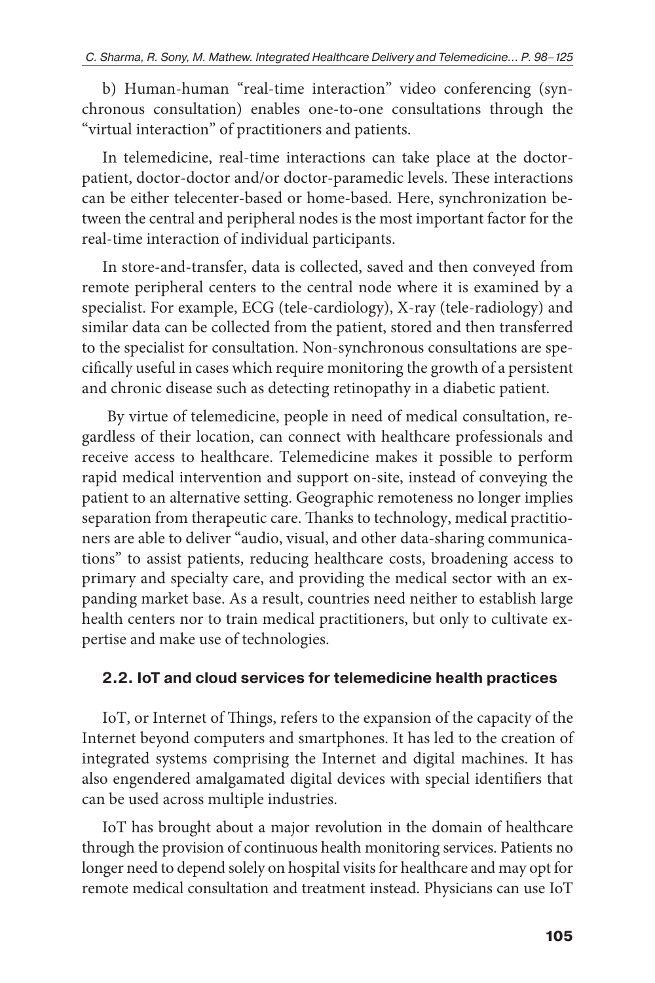b) Human-human "real-time interaction" video conferencing (synchronous consultation) enables one-to-one consultations through the "virtual interaction" of practitioners and patients.

In telemedicine, real-time interactions can take place at the doctorpatient, doctor-doctor and/or doctor-paramedic levels. These interactions can be either telecenter-based or home-based. Here, synchronization between the central and peripheral nodes is the most important factor for the real-time interaction of individual participants.

In store-and-transfer, data is collected, saved and then conveyed from remote peripheral centers to the central node where it is examined by a specialist. For example, ECG (tele-cardiology), X-ray (tele-radiology) and similar data can be collected from the patient, stored and then transferred to the specialist for consultation. Non-synchronous consultations are specifically useful in cases which require monitoring the growth of a persistent and chronic disease such as detecting retinopathy in a diabetic patient.

 By virtue of telemedicine, people in need of medical consultation, regardless of their location, can connect with healthcare professionals and receive access to healthcare. Telemedicine makes it possible to perform rapid medical intervention and support on-site, instead of conveying the patient to an alternative setting. Geographic remoteness no longer implies separation from therapeutic care. Thanks to technology, medical practitioners are able to deliver "audio, visual, and other data-sharing communications" to assist patients, reducing healthcare costs, broadening access to primary and specialty care, and providing the medical sector with an expanding market base. As a result, countries need neither to establish large health centers nor to train medical practitioners, but only to cultivate expertise and make use of technologies.

### **2.2. IoT and cloud services for telemedicine health practices**

IoT, or Internet of Things, refers to the expansion of the capacity of the Internet beyond computers and smartphones. It has led to the creation of integrated systems comprising the Internet and digital machines. It has also engendered amalgamated digital devices with special identifiers that can be used across multiple industries.

IoT has brought about a major revolution in the domain of healthcare through the provision of continuous health monitoring services. Patients no longer need to depend solely on hospital visits for healthcare and may opt for remote medical consultation and treatment instead. Physicians can use IoT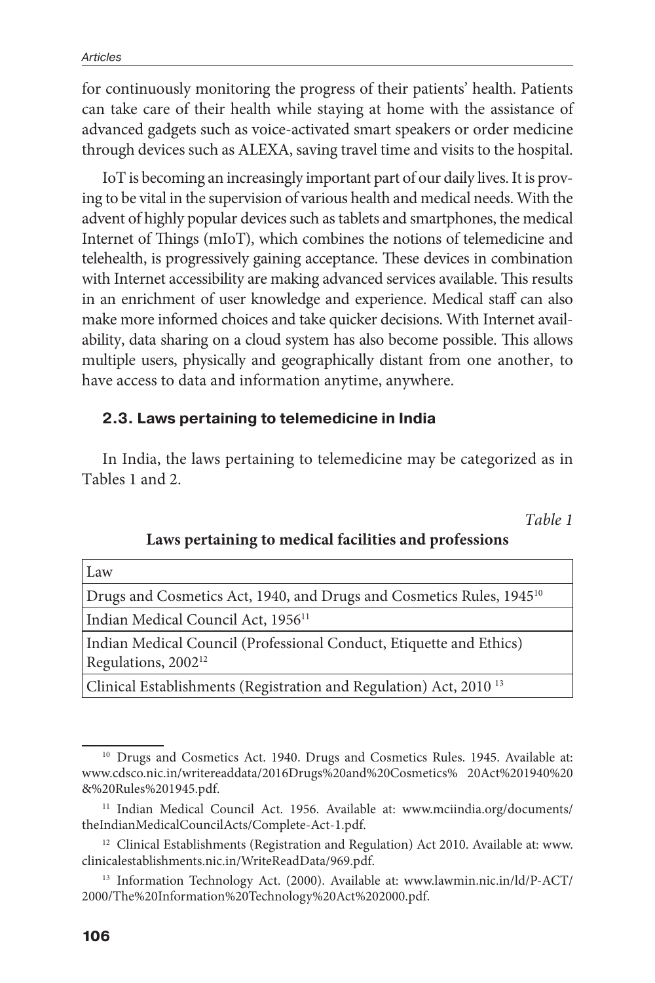for continuously monitoring the progress of their patients' health. Patients can take care of their health while staying at home with the assistance of advanced gadgets such as voice-activated smart speakers or order medicine through devices such as ALEXA, saving travel time and visits to the hospital.

IoT is becoming an increasingly important part of our daily lives. It is proving to be vital in the supervision of various health and medical needs. With the advent of highly popular devices such as tablets and smartphones, the medical Internet of Things (mIoT), which combines the notions of telemedicine and telehealth, is progressively gaining acceptance. These devices in combination with Internet accessibility are making advanced services available. This results in an enrichment of user knowledge and experience. Medical staff can also make more informed choices and take quicker decisions. With Internet availability, data sharing on a cloud system has also become possible. This allows multiple users, physically and geographically distant from one another, to have access to data and information anytime, anywhere.

#### **2.3. Laws pertaining to telemedicine in India**

In India, the laws pertaining to telemedicine may be categorized as in Tables 1 and 2.

*Table 1*

|                                                | Law                                                                              |  |  |
|------------------------------------------------|----------------------------------------------------------------------------------|--|--|
|                                                | Drugs and Cosmetics Act, 1940, and Drugs and Cosmetics Rules, 1945 <sup>10</sup> |  |  |
| Indian Medical Council Act, 1956 <sup>11</sup> |                                                                                  |  |  |
|                                                | Indian Medical Council (Professional Conduct, Etiquette and Ethics)              |  |  |
|                                                | Regulations, 2002 <sup>12</sup>                                                  |  |  |
|                                                |                                                                                  |  |  |

Clinical Establishments (Registration and Regulation) Act, 2010 13

<sup>&</sup>lt;sup>10</sup> Drugs and Cosmetics Act. 1940. Drugs and Cosmetics Rules. 1945. Available at: www.cdsco.nic.in/writereaddata/2016Drugs%20and%20Cosmetics% 20Act%201940%20 &%20Rules%201945.pdf.

<sup>&</sup>lt;sup>11</sup> Indian Medical Council Act. 1956. Available at: www.mciindia.org/documents/ theIndianMedicalCouncilActs/Complete-Act-1.pdf.

 $^{\rm 12}$  Clinical Establishments (Registration and Regulation) Act 2010. Available at: www. clinicalestablishments.nic.in/WriteReadData/969.pdf.

<sup>&</sup>lt;sup>13</sup> Information Technology Act. (2000). Available at: www.lawmin.nic.in/ld/P-ACT/ 2000/The%20Information%20Technology%20Act%202000.pdf.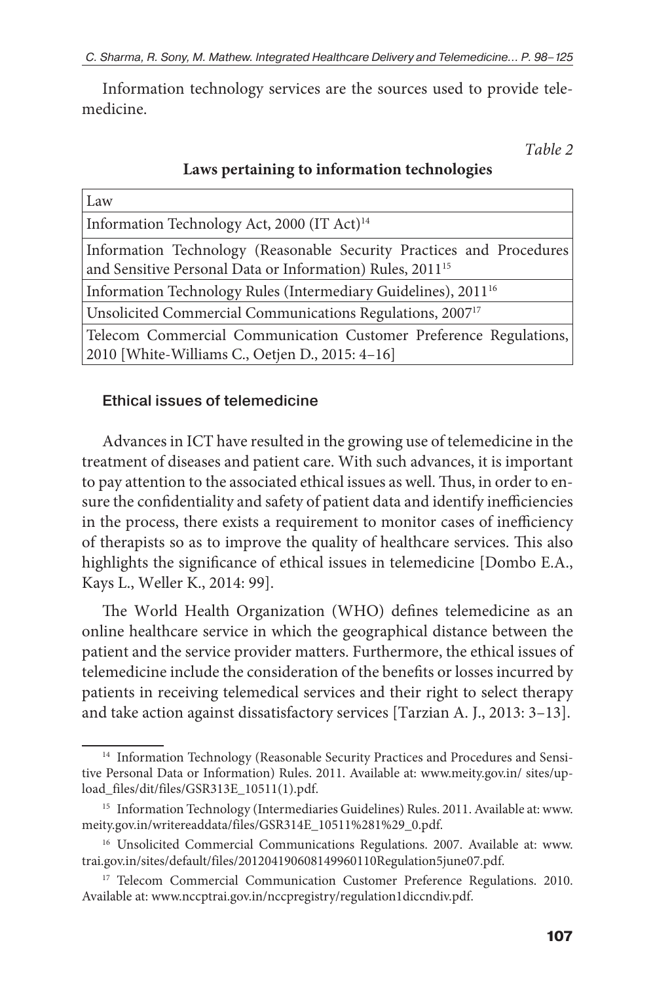Information technology services are the sources used to provide telemedicine.

*Table 2*

| Laws pertaining to information technologies |  |  |
|---------------------------------------------|--|--|
|---------------------------------------------|--|--|

| Law                                                                                                                                           |  |
|-----------------------------------------------------------------------------------------------------------------------------------------------|--|
| Information Technology Act, 2000 (IT Act) <sup>14</sup>                                                                                       |  |
| Information Technology (Reasonable Security Practices and Procedures<br>and Sensitive Personal Data or Information) Rules, 2011 <sup>15</sup> |  |
| Information Technology Rules (Intermediary Guidelines), 2011 <sup>16</sup>                                                                    |  |
| Unsolicited Commercial Communications Regulations, 2007 <sup>17</sup>                                                                         |  |
| Telecom Commercial Communication Customer Preference Regulations,<br>2010 [White-Williams C., Oetjen D., 2015: 4-16]                          |  |

### Ethical issues of telemedicine

Advances in ICT have resulted in the growing use of telemedicine in the treatment of diseases and patient care. With such advances, it is important to pay attention to the associated ethical issues as well. Thus, in order to ensure the confidentiality and safety of patient data and identify inefficiencies in the process, there exists a requirement to monitor cases of inefficiency of therapists so as to improve the quality of healthcare services. This also highlights the significance of ethical issues in telemedicine [Dombo E.A., Kays L., Weller K., 2014: 99].

The World Health Organization (WHO) defines telemedicine as an online healthcare service in which the geographical distance between the patient and the service provider matters. Furthermore, the ethical issues of telemedicine include the consideration of the benefits or losses incurred by patients in receiving telemedical services and their right to select therapy and take action against dissatisfactory services [Tarzian A. J., 2013: 3–13].

 $^{\rm 14}$  Information Technology (Reasonable Security Practices and Procedures and Sensitive Personal Data or Information) Rules. 2011. Available at: www.meity.gov.in/ sites/upload\_files/dit/files/GSR313E\_10511(1).pdf.

<sup>&</sup>lt;sup>15</sup> Information Technology (Intermediaries Guidelines) Rules. 2011. Available at: www. meity.gov.in/writereaddata/files/GSR314E\_10511%281%29\_0.pdf.

<sup>&</sup>lt;sup>16</sup> Unsolicited Commercial Communications Regulations. 2007. Available at: www. trai.gov.in/sites/default/files/201204190608149960110Regulation5june07.pdf.

<sup>&</sup>lt;sup>17</sup> Telecom Commercial Communication Customer Preference Regulations. 2010. Available at: www.nccptrai.gov.in/nccpregistry/regulation1diccndiv.pdf.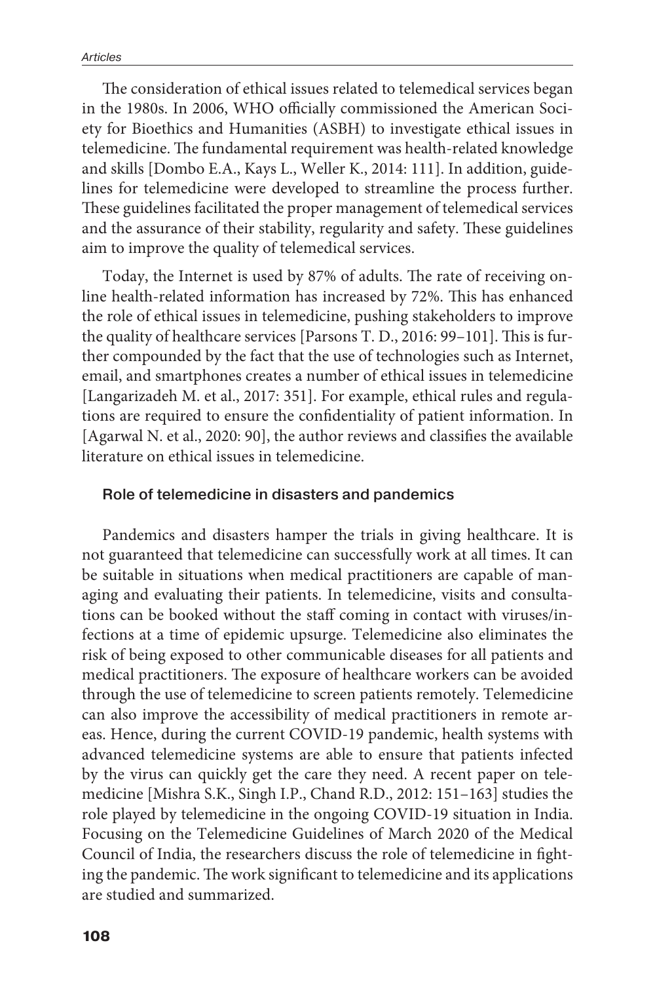The consideration of ethical issues related to telemedical services began in the 1980s. In 2006, WHO officially commissioned the American Society for Bioethics and Humanities (ASBH) to investigate ethical issues in telemedicine. The fundamental requirement was health-related knowledge and skills [Dombo E.A., Kays L., Weller K., 2014: 111]. In addition, guidelines for telemedicine were developed to streamline the process further. These guidelines facilitated the proper management of telemedical services and the assurance of their stability, regularity and safety. These guidelines aim to improve the quality of telemedical services.

Today, the Internet is used by 87% of adults. The rate of receiving online health-related information has increased by 72%. This has enhanced the role of ethical issues in telemedicine, pushing stakeholders to improve the quality of healthcare services [Parsons T. D., 2016: 99–101]. This is further compounded by the fact that the use of technologies such as Internet, email, and smartphones creates a number of ethical issues in telemedicine [Langarizadeh M. et al., 2017: 351]. For example, ethical rules and regulations are required to ensure the confidentiality of patient information. In [Agarwal N. et al., 2020: 90], the author reviews and classifies the available literature on ethical issues in telemedicine.

#### Role of telemedicine in disasters and pandemics

Pandemics and disasters hamper the trials in giving healthcare. It is not guaranteed that telemedicine can successfully work at all times. It can be suitable in situations when medical practitioners are capable of managing and evaluating their patients. In telemedicine, visits and consultations can be booked without the staff coming in contact with viruses/infections at a time of epidemic upsurge. Telemedicine also eliminates the risk of being exposed to other communicable diseases for all patients and medical practitioners. The exposure of healthcare workers can be avoided through the use of telemedicine to screen patients remotely. Telemedicine can also improve the accessibility of medical practitioners in remote areas. Hence, during the current COVID-19 pandemic, health systems with advanced telemedicine systems are able to ensure that patients infected by the virus can quickly get the care they need. A recent paper on telemedicine [Mishra S.K., Singh I.P., Chand R.D., 2012: 151–163] studies the role played by telemedicine in the ongoing COVID-19 situation in India. Focusing on the Telemedicine Guidelines of March 2020 of the Medical Council of India, the researchers discuss the role of telemedicine in fighting the pandemic. The work significant to telemedicine and its applications are studied and summarized.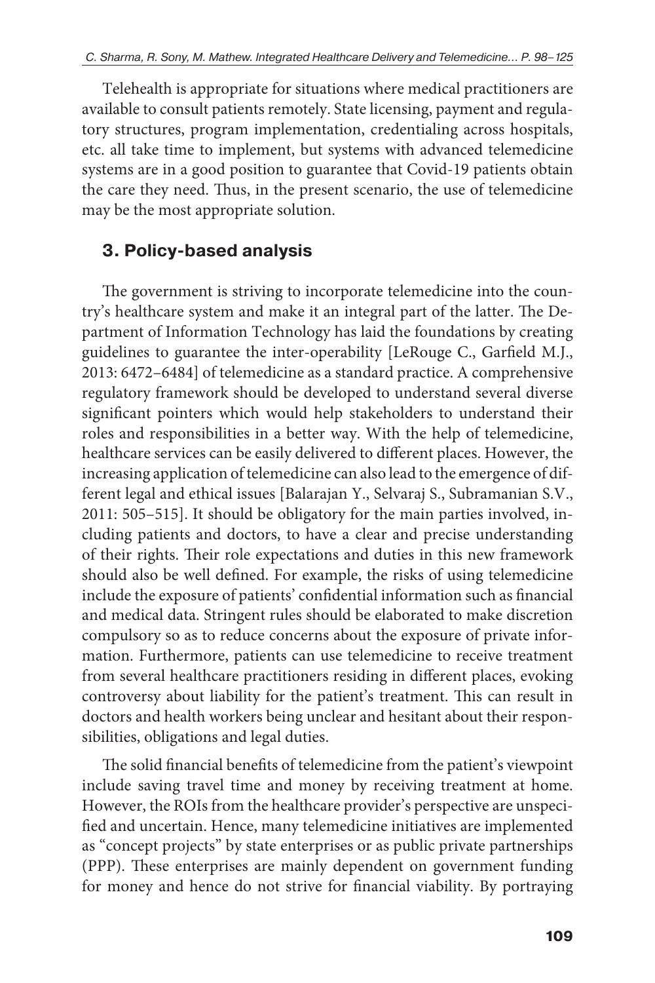Telehealth is appropriate for situations where medical practitioners are available to consult patients remotely. State licensing, payment and regulatory structures, program implementation, credentialing across hospitals, etc. all take time to implement, but systems with advanced telemedicine systems are in a good position to guarantee that Covid-19 patients obtain the care they need. Thus, in the present scenario, the use of telemedicine may be the most appropriate solution.

## **3. Policy-based analysis**

The government is striving to incorporate telemedicine into the country's healthcare system and make it an integral part of the latter. The Department of Information Technology has laid the foundations by creating guidelines to guarantee the inter-operability [LeRouge C., Garfield M.J., 2013: 6472–6484] of telemedicine as a standard practice. A comprehensive regulatory framework should be developed to understand several diverse significant pointers which would help stakeholders to understand their roles and responsibilities in a better way. With the help of telemedicine, healthcare services can be easily delivered to different places. However, the increasing application of telemedicine can also lead to the emergence of different legal and ethical issues [Balarajan Y., Selvaraj S., Subramanian S.V., 2011: 505–515]. It should be obligatory for the main parties involved, including patients and doctors, to have a clear and precise understanding of their rights. Their role expectations and duties in this new framework should also be well defined. For example, the risks of using telemedicine include the exposure of patients' confidential information such as financial and medical data. Stringent rules should be elaborated to make discretion compulsory so as to reduce concerns about the exposure of private information. Furthermore, patients can use telemedicine to receive treatment from several healthcare practitioners residing in different places, evoking controversy about liability for the patient's treatment. This can result in doctors and health workers being unclear and hesitant about their responsibilities, obligations and legal duties.

The solid financial benefits of telemedicine from the patient's viewpoint include saving travel time and money by receiving treatment at home. However, the ROIs from the healthcare provider's perspective are unspecified and uncertain. Hence, many telemedicine initiatives are implemented as "concept projects" by state enterprises or as public private partnerships (PPP). These enterprises are mainly dependent on government funding for money and hence do not strive for financial viability. By portraying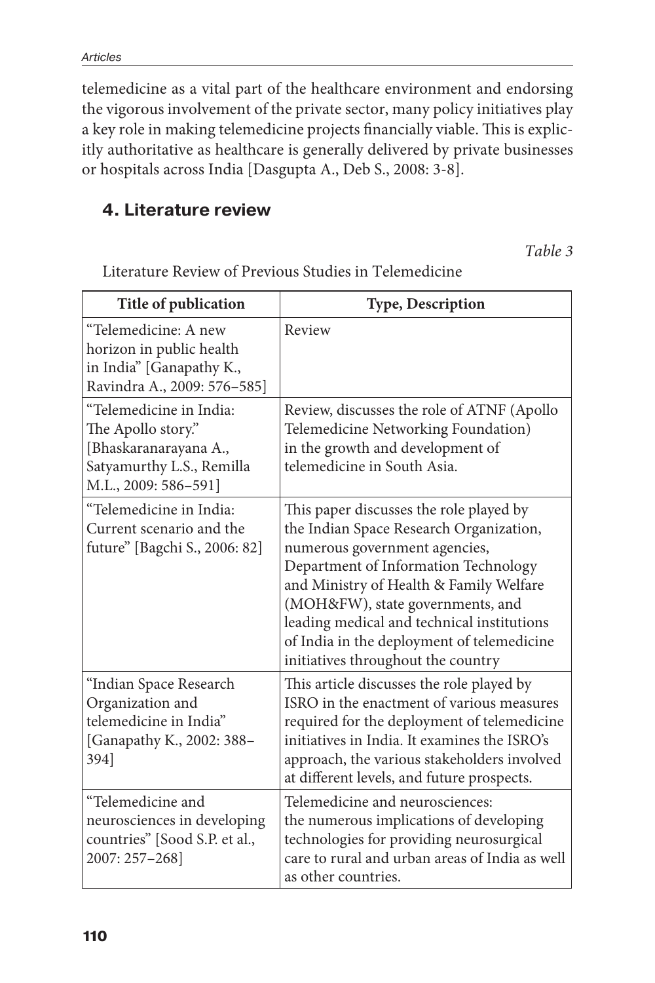telemedicine as a vital part of the healthcare environment and endorsing the vigorous involvement of the private sector, many policy initiatives play a key role in making telemedicine projects financially viable. This is explicitly authoritative as healthcare is generally delivered by private businesses or hospitals across India [Dasgupta A., Deb S., 2008: 3-8].

## **4. Literature review**

*Table 3*

| Title of publication                                                                                                        | <b>Type, Description</b>                                                                                                                                                                                                                                                                                                                                                     |
|-----------------------------------------------------------------------------------------------------------------------------|------------------------------------------------------------------------------------------------------------------------------------------------------------------------------------------------------------------------------------------------------------------------------------------------------------------------------------------------------------------------------|
| "Telemedicine: A new<br>horizon in public health<br>in India" [Ganapathy K.,<br>Ravindra A., 2009: 576-585]                 | Review                                                                                                                                                                                                                                                                                                                                                                       |
| "Telemedicine in India:<br>The Apollo story."<br>[Bhaskaranarayana A.,<br>Satyamurthy L.S., Remilla<br>M.L., 2009: 586-591] | Review, discusses the role of ATNF (Apollo<br>Telemedicine Networking Foundation)<br>in the growth and development of<br>telemedicine in South Asia.                                                                                                                                                                                                                         |
| "Telemedicine in India:<br>Current scenario and the<br>future" [Bagchi S., 2006: 82]                                        | This paper discusses the role played by<br>the Indian Space Research Organization,<br>numerous government agencies,<br>Department of Information Technology<br>and Ministry of Health & Family Welfare<br>(MOH&FW), state governments, and<br>leading medical and technical institutions<br>of India in the deployment of telemedicine<br>initiatives throughout the country |
| "Indian Space Research<br>Organization and<br>telemedicine in India"<br>[Ganapathy K., 2002: 388-<br>394]                   | This article discusses the role played by<br>ISRO in the enactment of various measures<br>required for the deployment of telemedicine<br>initiatives in India. It examines the ISRO's<br>approach, the various stakeholders involved<br>at different levels, and future prospects.                                                                                           |
| "Telemedicine and<br>neurosciences in developing<br>countries" [Sood S.P. et al.,<br>2007: 257-268]                         | Telemedicine and neurosciences:<br>the numerous implications of developing<br>technologies for providing neurosurgical<br>care to rural and urban areas of India as well<br>as other countries.                                                                                                                                                                              |

Literature Review of Previous Studies in Telemedicine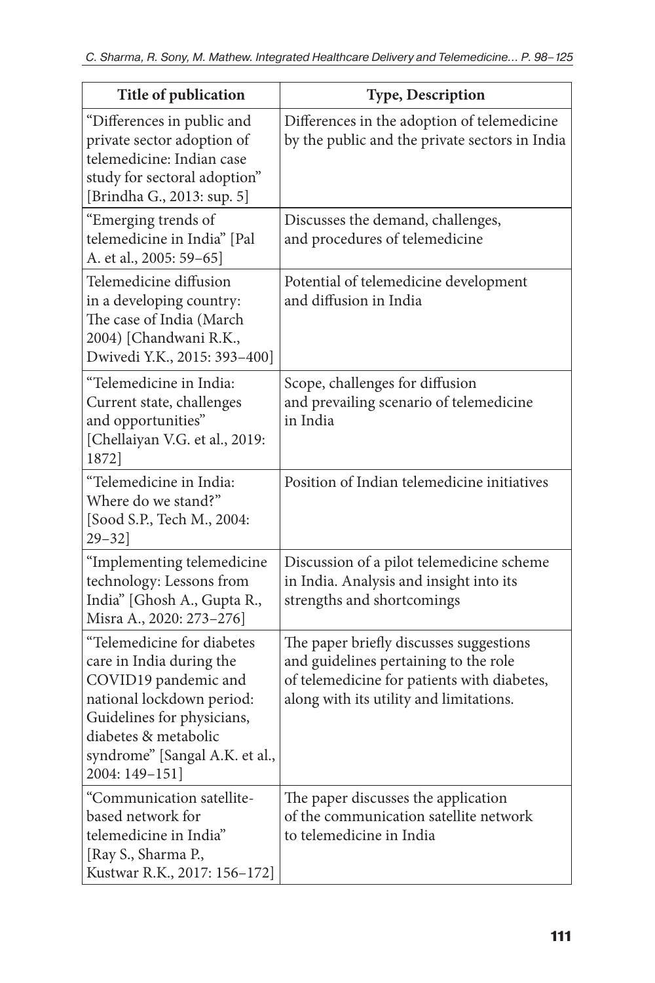| Title of publication                                                                                                                                                                                                  | <b>Type, Description</b>                                                                                                                                                   |
|-----------------------------------------------------------------------------------------------------------------------------------------------------------------------------------------------------------------------|----------------------------------------------------------------------------------------------------------------------------------------------------------------------------|
| "Differences in public and<br>private sector adoption of<br>telemedicine: Indian case<br>study for sectoral adoption"<br>[Brindha G., 2013: sup. 5]                                                                   | Differences in the adoption of telemedicine<br>by the public and the private sectors in India                                                                              |
| "Emerging trends of<br>telemedicine in India" [Pal<br>A. et al., 2005: 59-65]                                                                                                                                         | Discusses the demand, challenges,<br>and procedures of telemedicine                                                                                                        |
| Telemedicine diffusion<br>in a developing country:<br>The case of India (March<br>2004) [Chandwani R.K.,<br>Dwivedi Y.K., 2015: 393-400]                                                                              | Potential of telemedicine development<br>and diffusion in India                                                                                                            |
| "Telemedicine in India:<br>Current state, challenges<br>and opportunities"<br>[Chellaiyan V.G. et al., 2019:<br>1872]                                                                                                 | Scope, challenges for diffusion<br>and prevailing scenario of telemedicine<br>in India                                                                                     |
| "Telemedicine in India:<br>Where do we stand?"<br>[Sood S.P., Tech M., 2004:<br>$29 - 32$                                                                                                                             | Position of Indian telemedicine initiatives                                                                                                                                |
| "Implementing telemedicine<br>technology: Lessons from<br>India" [Ghosh A., Gupta R.,<br>Misra A., 2020: 273-276]                                                                                                     | Discussion of a pilot telemedicine scheme<br>in India. Analysis and insight into its<br>strengths and shortcomings                                                         |
| "Telemedicine for diabetes<br>care in India during the<br>COVID19 pandemic and<br>national lockdown period:<br>Guidelines for physicians,<br>diabetes & metabolic<br>syndrome" [Sangal A.K. et al.,<br>2004: 149-151] | The paper briefly discusses suggestions<br>and guidelines pertaining to the role<br>of telemedicine for patients with diabetes,<br>along with its utility and limitations. |
| "Communication satellite-<br>based network for<br>telemedicine in India"<br>[Ray S., Sharma P.,<br>Kustwar R.K., 2017: 156-172]                                                                                       | The paper discusses the application<br>of the communication satellite network<br>to telemedicine in India                                                                  |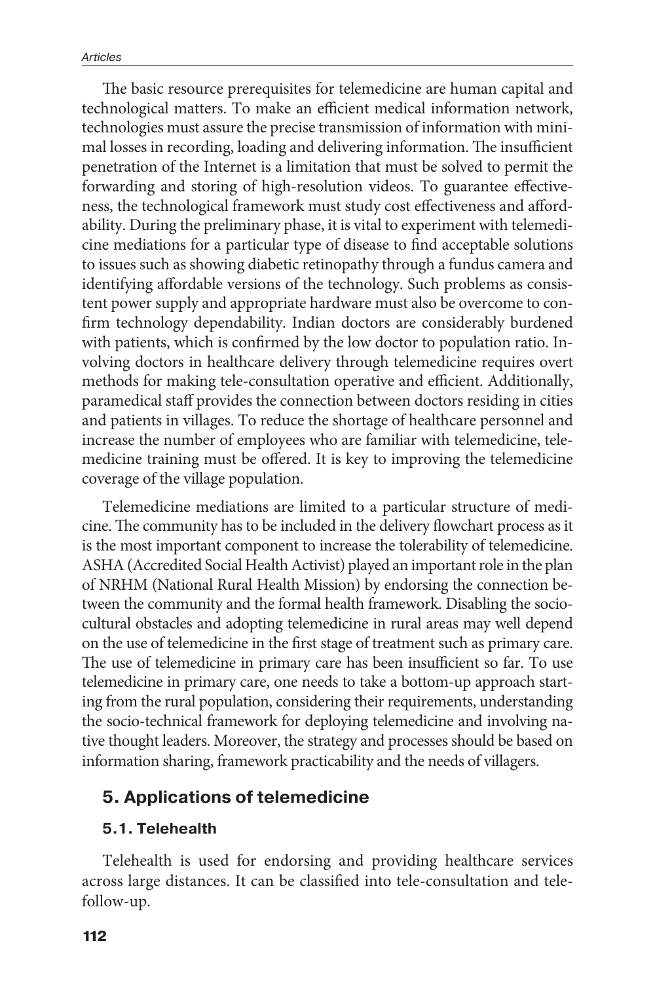The basic resource prerequisites for telemedicine are human capital and technological matters. To make an efficient medical information network, technologies must assure the precise transmission of information with minimal losses in recording, loading and delivering information. The insufficient penetration of the Internet is a limitation that must be solved to permit the forwarding and storing of high-resolution videos. To guarantee effectiveness, the technological framework must study cost effectiveness and affordability. During the preliminary phase, it is vital to experiment with telemedicine mediations for a particular type of disease to find acceptable solutions to issues such as showing diabetic retinopathy through a fundus camera and identifying affordable versions of the technology. Such problems as consistent power supply and appropriate hardware must also be overcome to confirm technology dependability. Indian doctors are considerably burdened with patients, which is confirmed by the low doctor to population ratio. Involving doctors in healthcare delivery through telemedicine requires overt methods for making tele-consultation operative and efficient. Additionally, paramedical staff provides the connection between doctors residing in cities and patients in villages. To reduce the shortage of healthcare personnel and increase the number of employees who are familiar with telemedicine, telemedicine training must be offered. It is key to improving the telemedicine coverage of the village population.

Telemedicine mediations are limited to a particular structure of medicine. The community has to be included in the delivery flowchart process as it is the most important component to increase the tolerability of telemedicine. ASHA (Accredited Social Health Activist) played an important role in the plan of NRHM (National Rural Health Mission) by endorsing the connection between the community and the formal health framework. Disabling the sociocultural obstacles and adopting telemedicine in rural areas may well depend on the use of telemedicine in the first stage of treatment such as primary care. The use of telemedicine in primary care has been insufficient so far. To use telemedicine in primary care, one needs to take a bottom-up approach starting from the rural population, considering their requirements, understanding the socio-technical framework for deploying telemedicine and involving native thought leaders. Moreover, the strategy and processes should be based on information sharing, framework practicability and the needs of villagers.

## **5. Applications of telemedicine**

### **5.1. Telehealth**

Telehealth is used for endorsing and providing healthcare services across large distances. It can be classified into tele-consultation and telefollow-up.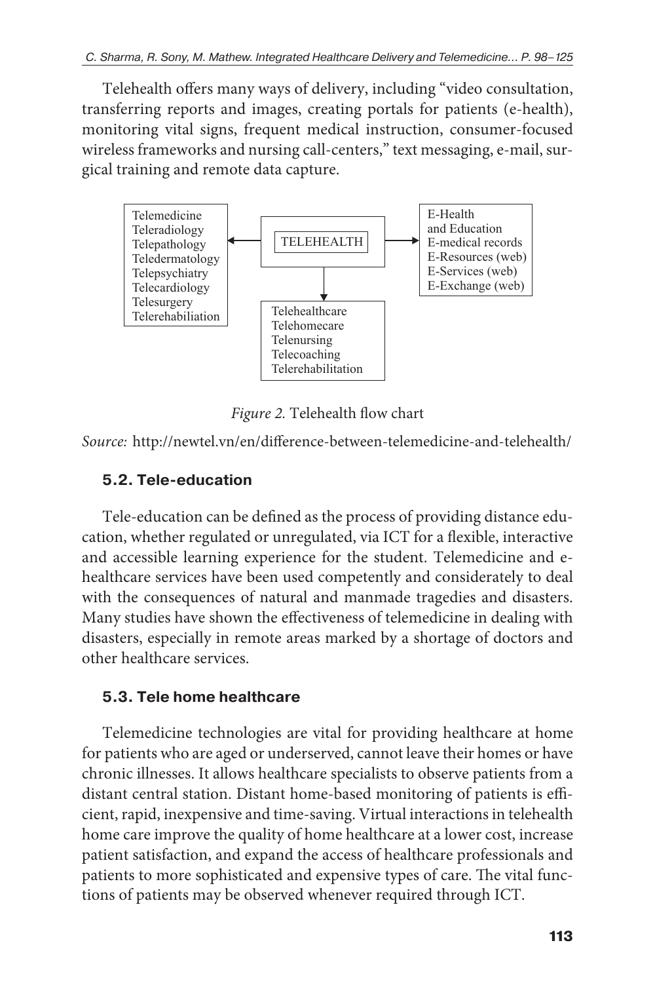Telehealth offers many ways of delivery, including "video consultation, transferring reports and images, creating portals for patients (e-health), monitoring vital signs, frequent medical instruction, consumer-focused wireless frameworks and nursing call-centers," text messaging, e-mail, surgical training and remote data capture.



*Figure 2.* Telehealth flow chart

*Source:* http://newtel.vn/en/difference-between-telemedicine-and-telehealth/

## **5.2. Tele-education**

Tele-education can be defined as the process of providing distance education, whether regulated or unregulated, via ICT for a flexible, interactive and accessible learning experience for the student. Telemedicine and ehealthcare services have been used competently and considerately to deal with the consequences of natural and manmade tragedies and disasters. Many studies have shown the effectiveness of telemedicine in dealing with disasters, especially in remote areas marked by a shortage of doctors and other healthcare services.

## **5.3. Tele home healthcare**

Telemedicine technologies are vital for providing healthcare at home for patients who are aged or underserved, cannot leave their homes or have chronic illnesses. It allows healthcare specialists to observe patients from a distant central station. Distant home-based monitoring of patients is efficient, rapid, inexpensive and time-saving. Virtual interactions in telehealth home care improve the quality of home healthcare at a lower cost, increase patient satisfaction, and expand the access of healthcare professionals and patients to more sophisticated and expensive types of care. The vital functions of patients may be observed whenever required through ICT.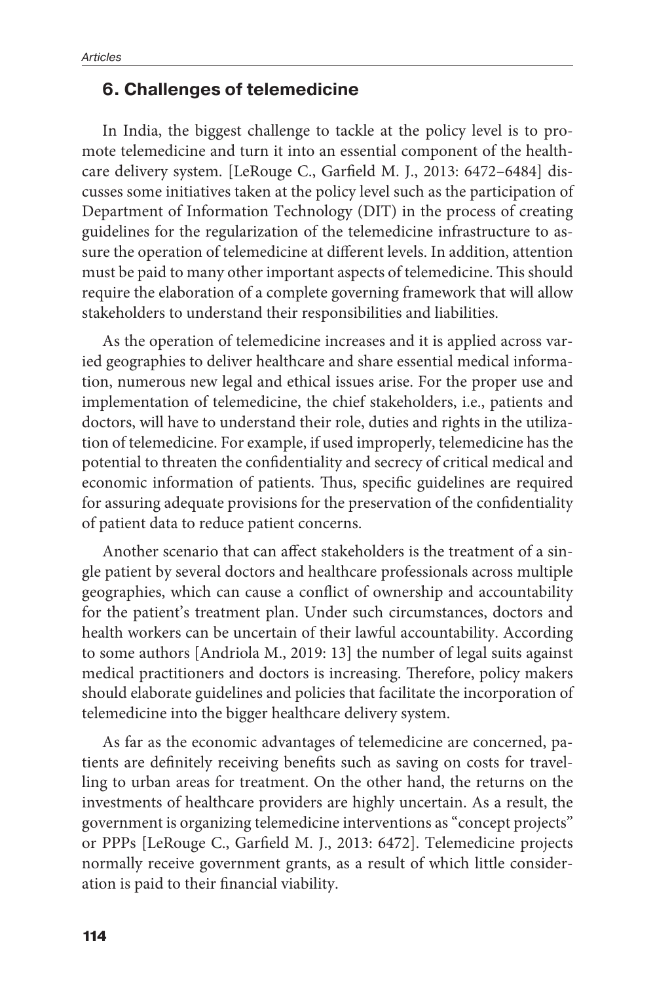#### **6. Challenges of telemedicine**

In India, the biggest challenge to tackle at the policy level is to promote telemedicine and turn it into an essential component of the healthcare delivery system. [LeRouge C., Garfield M. J., 2013: 6472–6484] discusses some initiatives taken at the policy level such as the participation of Department of Information Technology (DIT) in the process of creating guidelines for the regularization of the telemedicine infrastructure to assure the operation of telemedicine at different levels. In addition, attention must be paid to many other important aspects of telemedicine. This should require the elaboration of a complete governing framework that will allow stakeholders to understand their responsibilities and liabilities.

As the operation of telemedicine increases and it is applied across varied geographies to deliver healthcare and share essential medical information, numerous new legal and ethical issues arise. For the proper use and implementation of telemedicine, the chief stakeholders, i.e., patients and doctors, will have to understand their role, duties and rights in the utilization of telemedicine. For example, if used improperly, telemedicine has the potential to threaten the confidentiality and secrecy of critical medical and economic information of patients. Thus, specific guidelines are required for assuring adequate provisions for the preservation of the confidentiality of patient data to reduce patient concerns.

Another scenario that can affect stakeholders is the treatment of a single patient by several doctors and healthcare professionals across multiple geographies, which can cause a conflict of ownership and accountability for the patient's treatment plan. Under such circumstances, doctors and health workers can be uncertain of their lawful accountability. According to some authors [Andriola M., 2019: 13] the number of legal suits against medical practitioners and doctors is increasing. Therefore, policy makers should elaborate guidelines and policies that facilitate the incorporation of telemedicine into the bigger healthcare delivery system.

As far as the economic advantages of telemedicine are concerned, patients are definitely receiving benefits such as saving on costs for travelling to urban areas for treatment. On the other hand, the returns on the investments of healthcare providers are highly uncertain. As a result, the government is organizing telemedicine interventions as "concept projects" or PPPs [LeRouge C., Garfield M. J., 2013: 6472]. Telemedicine projects normally receive government grants, as a result of which little consideration is paid to their financial viability.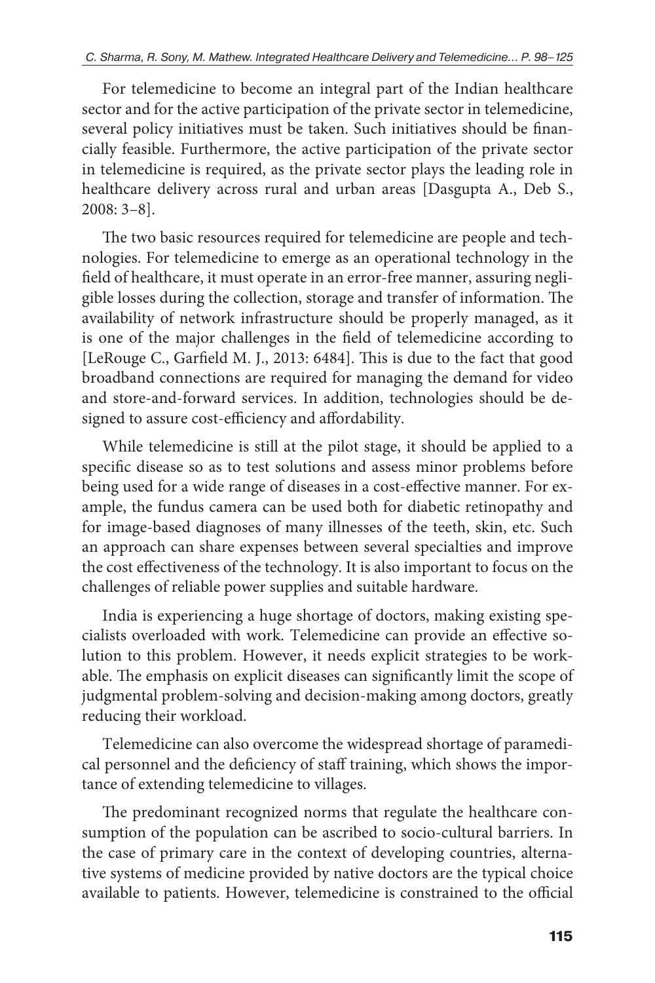For telemedicine to become an integral part of the Indian healthcare sector and for the active participation of the private sector in telemedicine, several policy initiatives must be taken. Such initiatives should be financially feasible. Furthermore, the active participation of the private sector in telemedicine is required, as the private sector plays the leading role in healthcare delivery across rural and urban areas [Dasgupta A., Deb S., 2008: 3–8].

The two basic resources required for telemedicine are people and technologies. For telemedicine to emerge as an operational technology in the field of healthcare, it must operate in an error-free manner, assuring negligible losses during the collection, storage and transfer of information. The availability of network infrastructure should be properly managed, as it is one of the major challenges in the field of telemedicine according to [LeRouge C., Garfield M. J., 2013: 6484]. This is due to the fact that good broadband connections are required for managing the demand for video and store-and-forward services. In addition, technologies should be designed to assure cost-efficiency and affordability.

While telemedicine is still at the pilot stage, it should be applied to a specific disease so as to test solutions and assess minor problems before being used for a wide range of diseases in a cost-effective manner. For example, the fundus camera can be used both for diabetic retinopathy and for image-based diagnoses of many illnesses of the teeth, skin, etc. Such an approach can share expenses between several specialties and improve the cost effectiveness of the technology. It is also important to focus on the challenges of reliable power supplies and suitable hardware.

India is experiencing a huge shortage of doctors, making existing specialists overloaded with work. Telemedicine can provide an effective solution to this problem. However, it needs explicit strategies to be workable. The emphasis on explicit diseases can significantly limit the scope of judgmental problem-solving and decision-making among doctors, greatly reducing their workload.

Telemedicine can also overcome the widespread shortage of paramedical personnel and the deficiency of staff training, which shows the importance of extending telemedicine to villages.

The predominant recognized norms that regulate the healthcare consumption of the population can be ascribed to socio-cultural barriers. In the case of primary care in the context of developing countries, alternative systems of medicine provided by native doctors are the typical choice available to patients. However, telemedicine is constrained to the official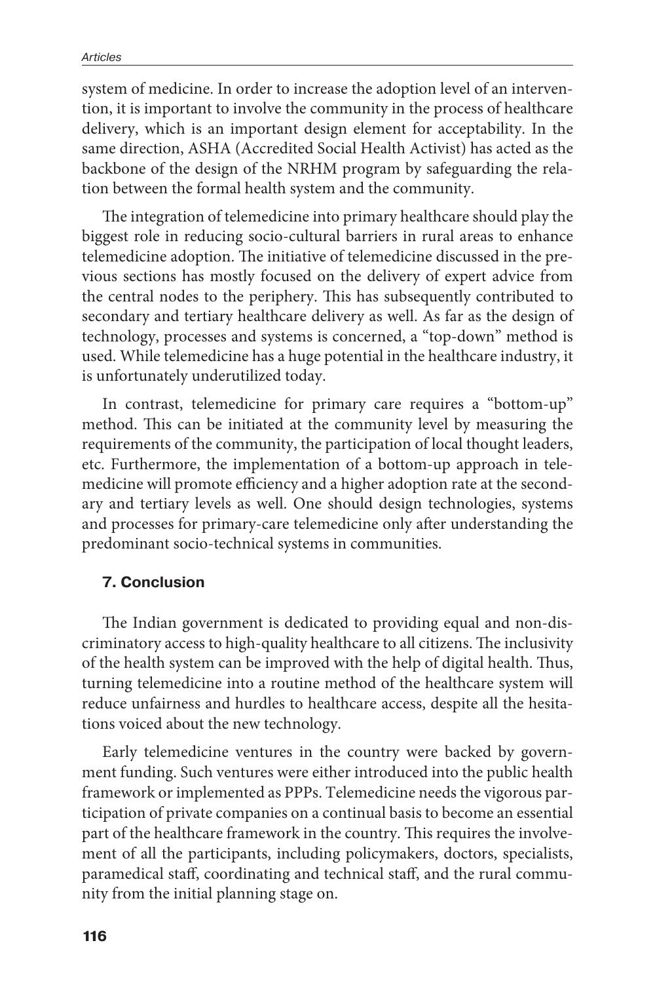system of medicine. In order to increase the adoption level of an intervention, it is important to involve the community in the process of healthcare delivery, which is an important design element for acceptability. In the same direction, ASHA (Accredited Social Health Activist) has acted as the backbone of the design of the NRHM program by safeguarding the relation between the formal health system and the community.

The integration of telemedicine into primary healthcare should play the biggest role in reducing socio-cultural barriers in rural areas to enhance telemedicine adoption. The initiative of telemedicine discussed in the previous sections has mostly focused on the delivery of expert advice from the central nodes to the periphery. This has subsequently contributed to secondary and tertiary healthcare delivery as well. As far as the design of technology, processes and systems is concerned, a "top-down" method is used. While telemedicine has a huge potential in the healthcare industry, it is unfortunately underutilized today.

In contrast, telemedicine for primary care requires a "bottom-up" method. This can be initiated at the community level by measuring the requirements of the community, the participation of local thought leaders, etc. Furthermore, the implementation of a bottom-up approach in telemedicine will promote efficiency and a higher adoption rate at the secondary and tertiary levels as well. One should design technologies, systems and processes for primary-care telemedicine only after understanding the predominant socio-technical systems in communities.

#### **7. Conclusion**

The Indian government is dedicated to providing equal and non-discriminatory access to high-quality healthcare to all citizens. The inclusivity of the health system can be improved with the help of digital health. Thus, turning telemedicine into a routine method of the healthcare system will reduce unfairness and hurdles to healthcare access, despite all the hesitations voiced about the new technology.

Early telemedicine ventures in the country were backed by government funding. Such ventures were either introduced into the public health framework or implemented as PPPs. Telemedicine needs the vigorous participation of private companies on a continual basis to become an essential part of the healthcare framework in the country. This requires the involvement of all the participants, including policymakers, doctors, specialists, paramedical staff, coordinating and technical staff, and the rural community from the initial planning stage on.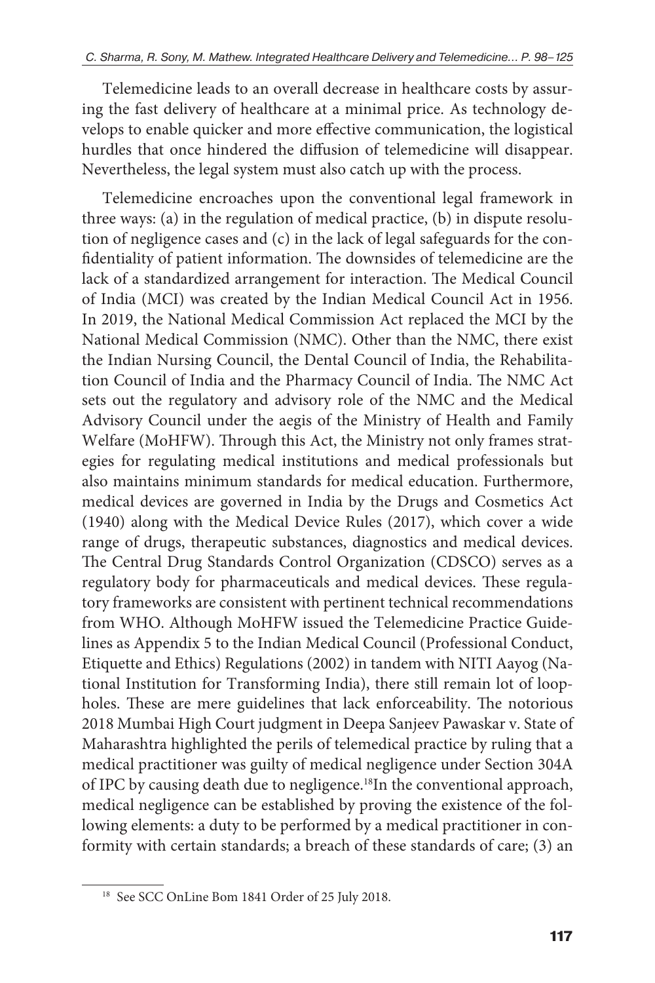Telemedicine leads to an overall decrease in healthcare costs by assuring the fast delivery of healthcare at a minimal price. As technology develops to enable quicker and more effective communication, the logistical hurdles that once hindered the diffusion of telemedicine will disappear. Nevertheless, the legal system must also catch up with the process.

Telemedicine encroaches upon the conventional legal framework in three ways: (a) in the regulation of medical practice, (b) in dispute resolution of negligence cases and (c) in the lack of legal safeguards for the confidentiality of patient information. The downsides of telemedicine are the lack of a standardized arrangement for interaction. The Medical Council of India (MCI) was created by the Indian Medical Council Act in 1956. In 2019, the National Medical Commission Act replaced the MCI by the National Medical Commission (NMC). Other than the NMC, there exist the Indian Nursing Council, the Dental Council of India, the Rehabilitation Council of India and the Pharmacy Council of India. The NMC Act sets out the regulatory and advisory role of the NMC and the Medical Advisory Council under the aegis of the Ministry of Health and Family Welfare (MoHFW). Through this Act, the Ministry not only frames strategies for regulating medical institutions and medical professionals but also maintains minimum standards for medical education. Furthermore, medical devices are governed in India by the Drugs and Cosmetics Act (1940) along with the Medical Device Rules (2017), which cover a wide range of drugs, therapeutic substances, diagnostics and medical devices. The Central Drug Standards Control Organization (CDSCO) serves as a regulatory body for pharmaceuticals and medical devices. These regulatory frameworks are consistent with pertinent technical recommendations from WHO. Although MoHFW issued the Telemedicine Practice Guidelines as Appendix 5 to the Indian Medical Council (Professional Conduct, Etiquette and Ethics) Regulations (2002) in tandem with NITI Aayog (National Institution for Transforming India), there still remain lot of loopholes. These are mere guidelines that lack enforceability. The notorious 2018 Mumbai High Court judgment in Deepa Sanjeev Pawaskar v. State of Maharashtra highlighted the perils of telemedical practice by ruling that a medical practitioner was guilty of medical negligence under Section 304A of IPC by causing death due to negligence.18In the conventional approach, medical negligence can be established by proving the existence of the following elements: a duty to be performed by a medical practitioner in conformity with certain standards; a breach of these standards of care; (3) an

<sup>&</sup>lt;sup>18</sup> See SCC OnLine Bom 1841 Order of 25 July 2018.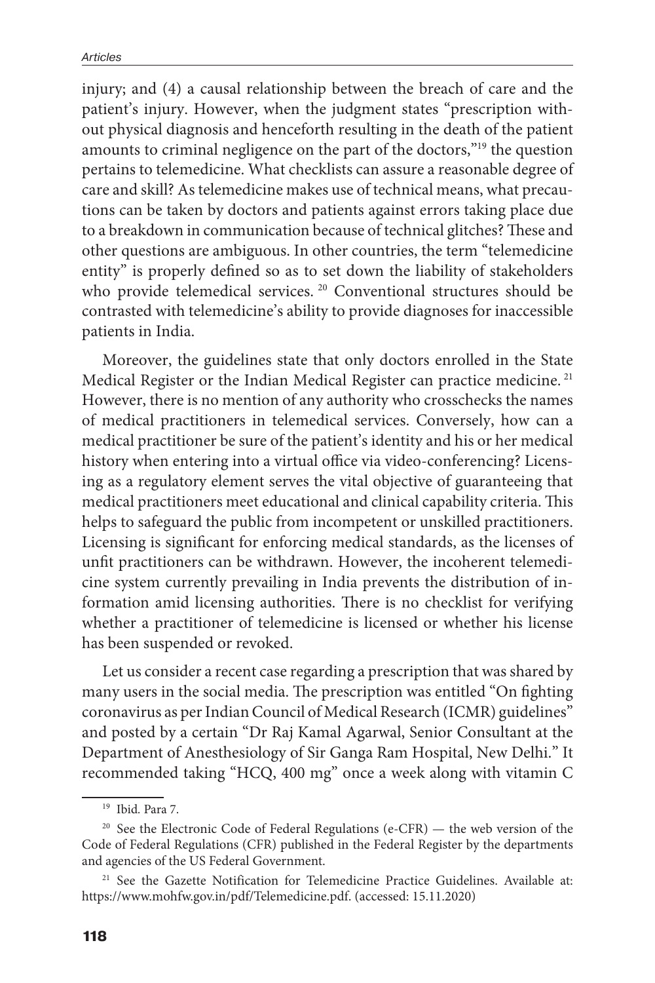injury; and (4) a causal relationship between the breach of care and the patient's injury. However, when the judgment states "prescription without physical diagnosis and henceforth resulting in the death of the patient amounts to criminal negligence on the part of the doctors,"19 the question pertains to telemedicine. What checklists can assure a reasonable degree of care and skill? As telemedicine makes use of technical means, what precautions can be taken by doctors and patients against errors taking place due to a breakdown in communication because of technical glitches? These and other questions are ambiguous. In other countries, the term "telemedicine entity" is properly defined so as to set down the liability of stakeholders who provide telemedical services.<sup>20</sup> Conventional structures should be contrasted with telemedicine's ability to provide diagnoses for inaccessible patients in India.

Moreover, the guidelines state that only doctors enrolled in the State Medical Register or the Indian Medical Register can practice medicine.<sup>21</sup> However, there is no mention of any authority who crosschecks the names of medical practitioners in telemedical services. Conversely, how can a medical practitioner be sure of the patient's identity and his or her medical history when entering into a virtual office via video-conferencing? Licensing as a regulatory element serves the vital objective of guaranteeing that medical practitioners meet educational and clinical capability criteria. This helps to safeguard the public from incompetent or unskilled practitioners. Licensing is significant for enforcing medical standards, as the licenses of unfit practitioners can be withdrawn. However, the incoherent telemedicine system currently prevailing in India prevents the distribution of information amid licensing authorities. There is no checklist for verifying whether a practitioner of telemedicine is licensed or whether his license has been suspended or revoked.

Let us consider a recent case regarding a prescription that was shared by many users in the social media. The prescription was entitled "On fighting coronavirus as per Indian Council of Medical Research (ICMR) guidelines" and posted by a certain "Dr Raj Kamal Agarwal, Senior Consultant at the Department of Anesthesiology of Sir Ganga Ram Hospital, New Delhi." It recommended taking "HCQ, 400 mg" once a week along with vitamin C

<sup>19</sup> Ibid*.* Para 7.

<sup>&</sup>lt;sup>20</sup> See the Electronic Code of Federal Regulations (e-CFR) — the web version of the Code of Federal Regulations (CFR) published in the Federal Register by the departments and agencies of the US Federal Government.

<sup>&</sup>lt;sup>21</sup> See the Gazette Notification for Telemedicine Practice Guidelines. Available at: https://www.mohfw.gov.in/pdf/Telemedicine.pdf. (accessed: 15.11.2020)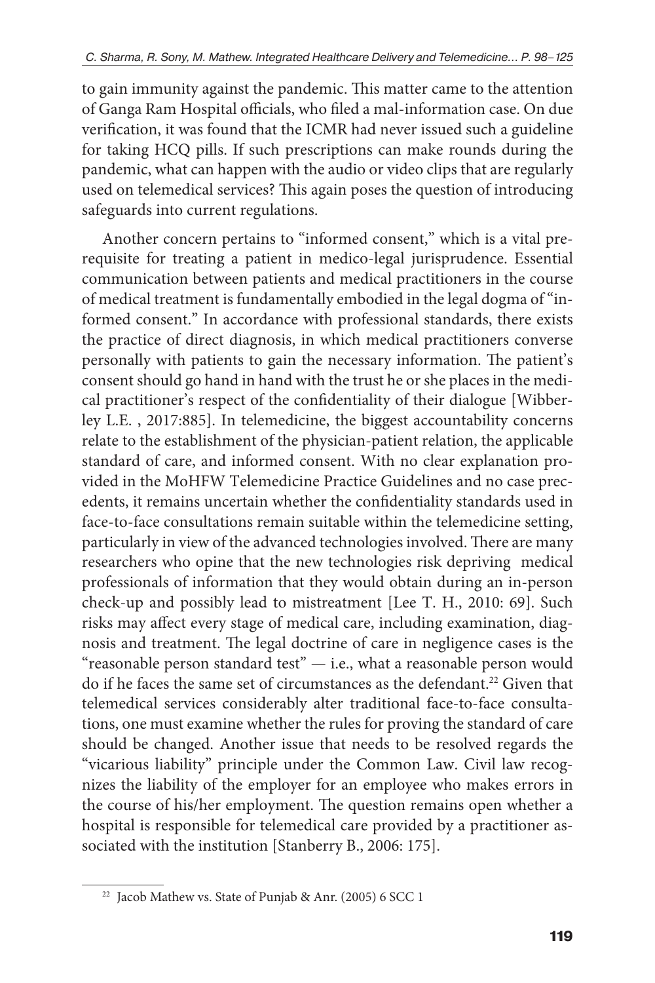to gain immunity against the pandemic. This matter came to the attention of Ganga Ram Hospital officials, who filed a mal-information case. On due verification, it was found that the ICMR had never issued such a guideline for taking HCQ pills. If such prescriptions can make rounds during the pandemic, what can happen with the audio or video clips that are regularly used on telemedical services? This again poses the question of introducing safeguards into current regulations.

Another concern pertains to "informed consent," which is a vital prerequisite for treating a patient in medico-legal jurisprudence. Essential communication between patients and medical practitioners in the course of medical treatment is fundamentally embodied in the legal dogma of "informed consent." In accordance with professional standards, there exists the practice of direct diagnosis, in which medical practitioners converse personally with patients to gain the necessary information. The patient's consent should go hand in hand with the trust he or she places in the medical practitioner's respect of the confidentiality of their dialogue [Wibberley L.E. , 2017:885]. In telemedicine, the biggest accountability concerns relate to the establishment of the physician-patient relation, the applicable standard of care, and informed consent. With no clear explanation provided in the MoHFW Telemedicine Practice Guidelines and no case precedents, it remains uncertain whether the confidentiality standards used in face-to-face consultations remain suitable within the telemedicine setting, particularly in view of the advanced technologies involved. There are many researchers who opine that the new technologies risk depriving medical professionals of information that they would obtain during an in-person check-up and possibly lead to mistreatment [Lee T. H., 2010: 69]. Such risks may affect every stage of medical care, including examination, diagnosis and treatment. The legal doctrine of care in negligence cases is the "reasonable person standard test" — i.e., what a reasonable person would do if he faces the same set of circumstances as the defendant.<sup>22</sup> Given that telemedical services considerably alter traditional face-to-face consultations, one must examine whether the rules for proving the standard of care should be changed. Another issue that needs to be resolved regards the "vicarious liability" principle under the Common Law. Civil law recognizes the liability of the employer for an employee who makes errors in the course of his/her employment. The question remains open whether a hospital is responsible for telemedical care provided by a practitioner associated with the institution [Stanberry B., 2006: 175].

<sup>&</sup>lt;sup>22</sup> Jacob Mathew vs. State of Punjab & Anr. (2005) 6 SCC 1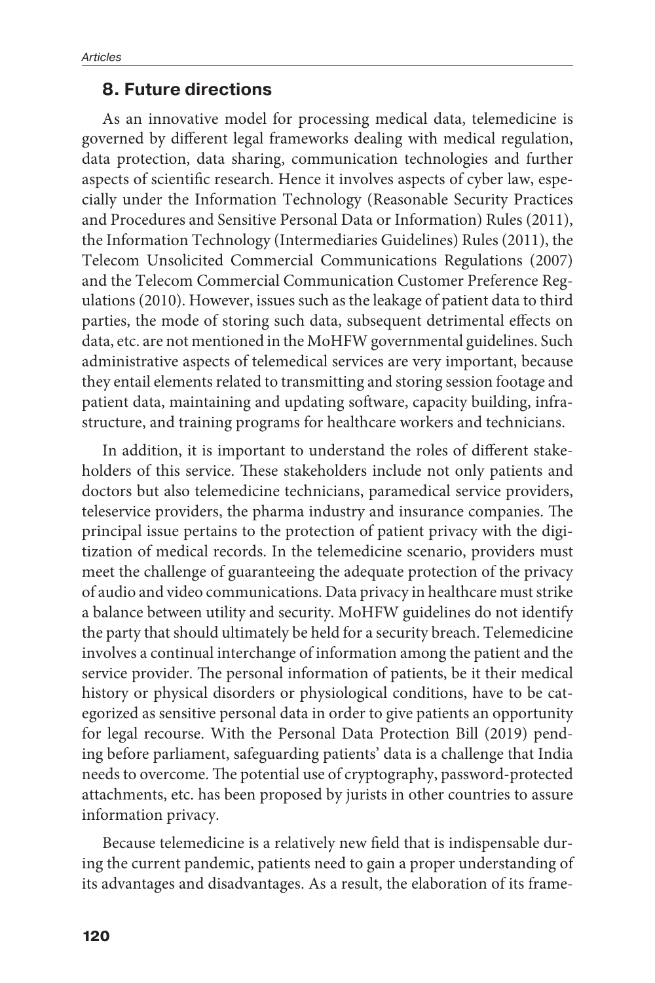#### **8. Future directions**

As an innovative model for processing medical data, telemedicine is governed by different legal frameworks dealing with medical regulation, data protection, data sharing, communication technologies and further aspects of scientific research. Hence it involves aspects of cyber law, especially under the Information Technology (Reasonable Security Practices and Procedures and Sensitive Personal Data or Information) Rules (2011), the Information Technology (Intermediaries Guidelines) Rules (2011), the Telecom Unsolicited Commercial Communications Regulations (2007) and the Telecom Commercial Communication Customer Preference Regulations (2010). However, issues such as the leakage of patient data to third parties, the mode of storing such data, subsequent detrimental effects on data, etc. are not mentioned in the MoHFW governmental guidelines. Such administrative aspects of telemedical services are very important, because they entail elements related to transmitting and storing session footage and patient data, maintaining and updating software, capacity building, infrastructure, and training programs for healthcare workers and technicians.

In addition, it is important to understand the roles of different stakeholders of this service. These stakeholders include not only patients and doctors but also telemedicine technicians, paramedical service providers, teleservice providers, the pharma industry and insurance companies. The principal issue pertains to the protection of patient privacy with the digitization of medical records. In the telemedicine scenario, providers must meet the challenge of guaranteeing the adequate protection of the privacy of audio and video communications. Data privacy in healthcare must strike a balance between utility and security. MoHFW guidelines do not identify the party that should ultimately be held for a security breach. Telemedicine involves a continual interchange of information among the patient and the service provider. The personal information of patients, be it their medical history or physical disorders or physiological conditions, have to be categorized as sensitive personal data in order to give patients an opportunity for legal recourse. With the Personal Data Protection Bill (2019) pending before parliament, safeguarding patients' data is a challenge that India needs to overcome. The potential use of cryptography, password-protected attachments, etc. has been proposed by jurists in other countries to assure information privacy.

Because telemedicine is a relatively new field that is indispensable during the current pandemic, patients need to gain a proper understanding of its advantages and disadvantages. As a result, the elaboration of its frame-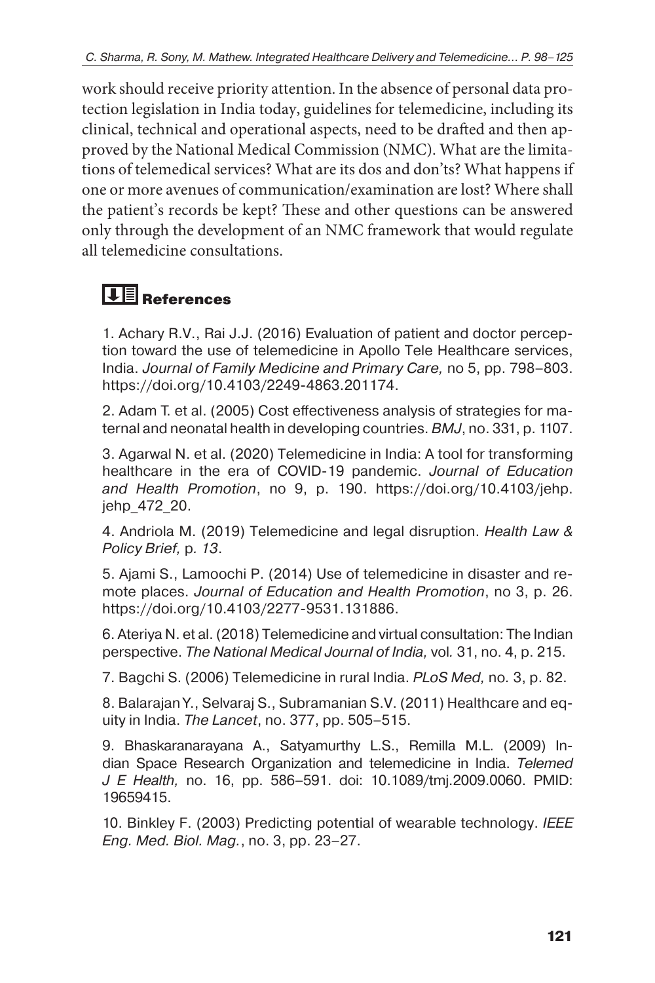work should receive priority attention. In the absence of personal data protection legislation in India today, guidelines for telemedicine, including its clinical, technical and operational aspects, need to be drafted and then approved by the National Medical Commission (NMC). What are the limitations of telemedical services? What are its dos and don'ts? What happens if one or more avenues of communication/examination are lost? Where shall the patient's records be kept? These and other questions can be answered only through the development of an NMC framework that would regulate all telemedicine consultations.

## **TE** References

1. Achary R.V., Rai J.J. (2016) Evaluation of patient and doctor perception toward the use of telemedicine in Apollo Tele Healthcare services, India. *Journal of Family Medicine and Primary Care,* no 5, pp. 798–803. https://doi.org/10.4103/2249-4863.201174.

2. Adam T. et al. (2005) Cost effectiveness analysis of strategies for maternal and neonatal health in developing countries. *BMJ*, no. 331, p. 1107.

3. Agarwal N. et al. (2020) Telemedicine in India: A tool for transforming healthcare in the era of COVID-19 pandemic. *Journal of Education and Health Promotion*, no 9, p. 190. https://doi.org/10.4103/jehp. jehp\_472\_20.

4. Andriola M. (2019) Telemedicine and legal disruption. *Health Law & Policy Brief,* p*. 13*.

5. Ajami S., Lamoochi P. (2014) Use of telemedicine in disaster and remote places. *Journal of Education and Health Promotion*, no 3, p. 26. https://doi.org/10.4103/2277-9531.131886.

6. Ateriya N. et al. (2018) Telemedicine and virtual consultation: The Indian perspective. *The National Medical Journal of India,* vol*.* 31, no. 4, p. 215.

7. Bagchi S. (2006) Telemedicine in rural India. *PLoS Med,* no*.* 3, p. 82.

8. Balarajan Y., Selvaraj S., Subramanian S.V. (2011) Healthcare and equity in India. *The Lancet*, no. 377, pp. 505–515.

9. Bhaskaranarayana A., Satyamurthy L.S., Remilla M.L. (2009) Indian Space Research Organization and telemedicine in India. *Telemed J E Health,* no. 16, pp. 586–591. doi: 10.1089/tmj.2009.0060. PMID: 19659415.

10. Binkley F. (2003) Predicting potential of wearable technology. *IEEE Eng. Med. Biol. Mag.*, no. 3, pp. 23–27.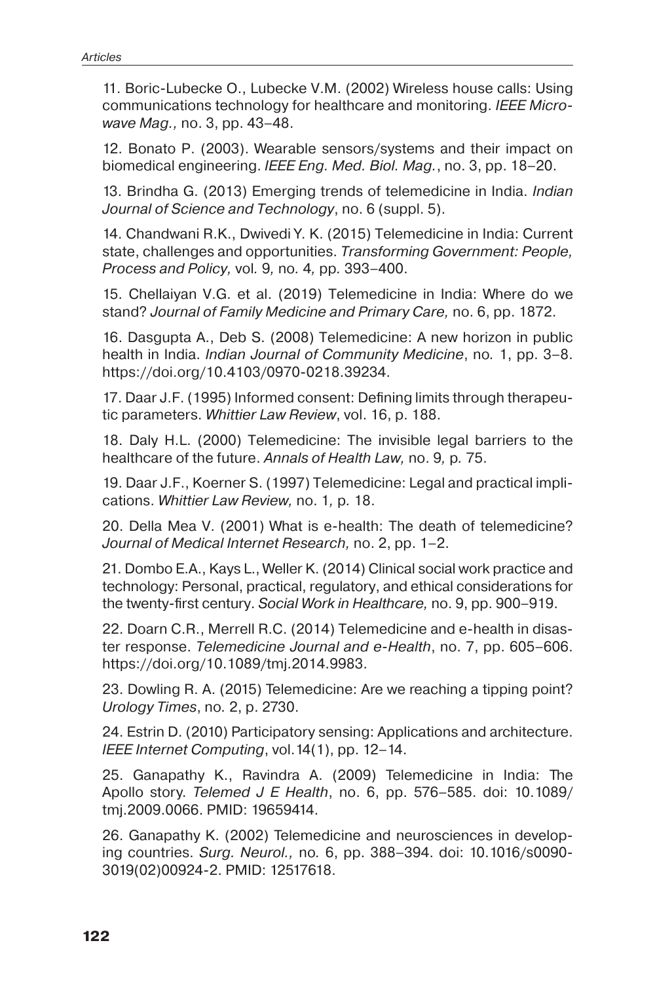11. Boric-Lubecke O., Lubecke V.M. (2002) Wireless house calls: Using communications technology for healthcare and monitoring. *IEEE Microwave Mag.,* no. 3, pp. 43–48.

12. Bonato P. (2003). Wearable sensors/systems and their impact on biomedical engineering. *IEEE Eng. Med. Biol. Mag.*, no. 3, pp. 18–20.

13. Brindha G. (2013) Emerging trends of telemedicine in India. *Indian Journal of Science and Technology*, no. 6 (suppl. 5).

14. Chandwani R.K., Dwivedi Y. K. (2015) Telemedicine in India: Current state, challenges and opportunities. *Transforming Government: People, Process and Policy,* vol*.* 9*,* no*.* 4*,* pp*.* 393*–*400.

15. Chellaiyan V.G. et al. (2019) Telemedicine in India: Where do we stand? *Journal of Family Medicine and Primary Care,* no. 6, pp. 1872.

16. Dasgupta A., Deb S. (2008) Telemedicine: A new horizon in public health in India. *Indian Journal of Community Medicine*, no*.* 1, pp. 3–8. https://doi.org/10.4103/0970-0218.39234.

17. Daar J.F. (1995) Informed consent: Defining limits through therapeutic parameters. *Whittier Law Review*, vol. 16, p. 188.

18. Daly H.L. (2000) Telemedicine: The invisible legal barriers to the healthcare of the future. *Annals of Health Law,* no. 9*,* p*.* 75.

19. Daar J.F., Koerner S. (1997) Telemedicine: Legal and practical implications. *Whittier Law Review,* no. 1*,* p*.* 18.

20. Della Mea V. (2001) What is e-health: The death of telemedicine? *Journal of Medical Internet Research,* no. 2, pp. 1–2.

21. Dombo E.A., Kays L., Weller K. (2014) Clinical social work practice and technology: Personal, practical, regulatory, and ethical considerations for the twenty-first century. *Social Work in Healthcare,* no. 9, pp. 900–919.

22. Doarn C.R., Merrell R.C. (2014) Telemedicine and e-health in disaster response. *Telemedicine Journal and e-Health*, no. 7, pp. 605–606. https://doi.org/10.1089/tmj.2014.9983.

23. Dowling R. A. (2015) Telemedicine: Are we reaching a tipping point? *Urology Times*, no*.* 2, p. 2730.

24. Estrin D. (2010) Participatory sensing: Applications and architecture. *IEEE Internet Computing*, vol.14(1), pp. 12–14.

25. Ganapathy K., Ravindra A. (2009) Telemedicine in India: The Apollo story. *Telemed J E Health*, no. 6, pp. 576–585. doi: 10.1089/ tmj.2009.0066. PMID: 19659414.

26. Ganapathy K. (2002) Telemedicine and neurosciences in developing countries. *Surg. Neurol.,* no*.* 6, pp. 388–394. doi: 10.1016/s0090- 3019(02)00924-2. PMID: 12517618.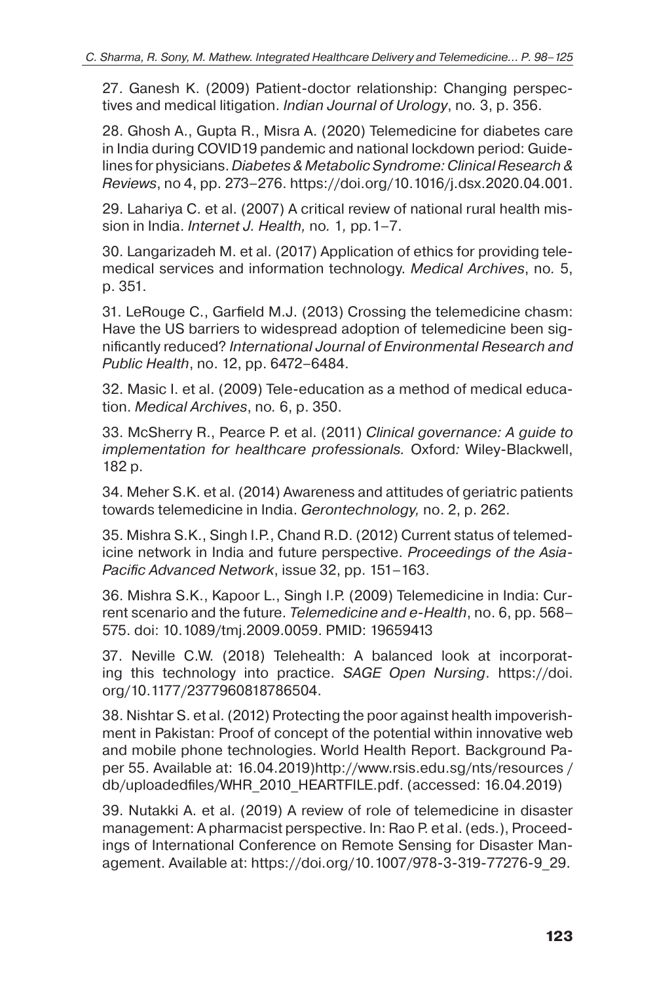27. Ganesh K. (2009) Patient-doctor relationship: Changing perspectives and medical litigation. *Indian Journal of Urology*, no*.* 3, p. 356.

28. Ghosh A., Gupta R., Misra A. (2020) Telemedicine for diabetes care in India during COVID19 pandemic and national lockdown period: Guidelines for physicians. *Diabetes & Metabolic Syndrome: Clinical Research & Reviews*, no 4, pp. 273–276. https://doi.org/10.1016/j.dsx.2020.04.001.

29. Lahariya C. et al. (2007) A critical review of national rural health mission in India. *Internet J. Health,* no*.* 1*,* pp*.*1–7.

30. Langarizadeh M. et al. (2017) Application of ethics for providing telemedical services and information technology. *Medical Archives*, no*.* 5, p. 351.

31. LeRouge C., Garfield M.J. (2013) Crossing the telemedicine chasm: Have the US barriers to widespread adoption of telemedicine been significantly reduced? *International Journal of Environmental Research and Public Health*, no. 12, pp. 6472–6484.

32. Masic I. et al. (2009) Tele-education as a method of medical education. *Medical Archives*, no*.* 6, p. 350.

33. McSherry R., Pearce P. et al. (2011) *Clinical governance: A guide to implementation for healthcare professionals.* Oxford*:* Wiley-Blackwell, 182 p.

34. Meher S.K. et al. (2014) Awareness and attitudes of geriatric patients towards telemedicine in India. *Gerontechnology,* no. 2, p. 262.

35. Mishra S.K., Singh I.P., Chand R.D. (2012) Current status of telemedicine network in India and future perspective. *Proceedings of the Asia-Pacific Advanced Network*, issue 32, pp. 151–163.

36. Mishra S.K., Kapoor L., Singh I.P. (2009) Telemedicine in India: Current scenario and the future. *Telemedicine and e-Health*, no. 6, pp. 568– 575. doi: 10.1089/tmj.2009.0059. PMID: 19659413

37. Neville C.W. (2018) Telehealth: A balanced look at incorporating this technology into practice. *SAGE Open Nursing*. https://doi. org/10.1177/2377960818786504.

38. Nishtar S. et al. (2012) Protecting the poor against health impoverishment in Pakistan: Proof of concept of the potential within innovative web and mobile phone technologies. World Health Report. Background Paper 55. Available at: 16.04.2019)http://www.rsis.edu.sg/nts/resources / db/uploadedfiles/WHR\_2010\_HEARTFILE.pdf. (accessed: 16.04.2019)

39. Nutakki A. et al. (2019) A review of role of telemedicine in disaster management: A pharmacist perspective. In: Rao P. et al. (eds.), Proceedings of International Conference on Remote Sensing for Disaster Management. Available at: https://doi.org/10.1007/978-3-319-77276-9\_29.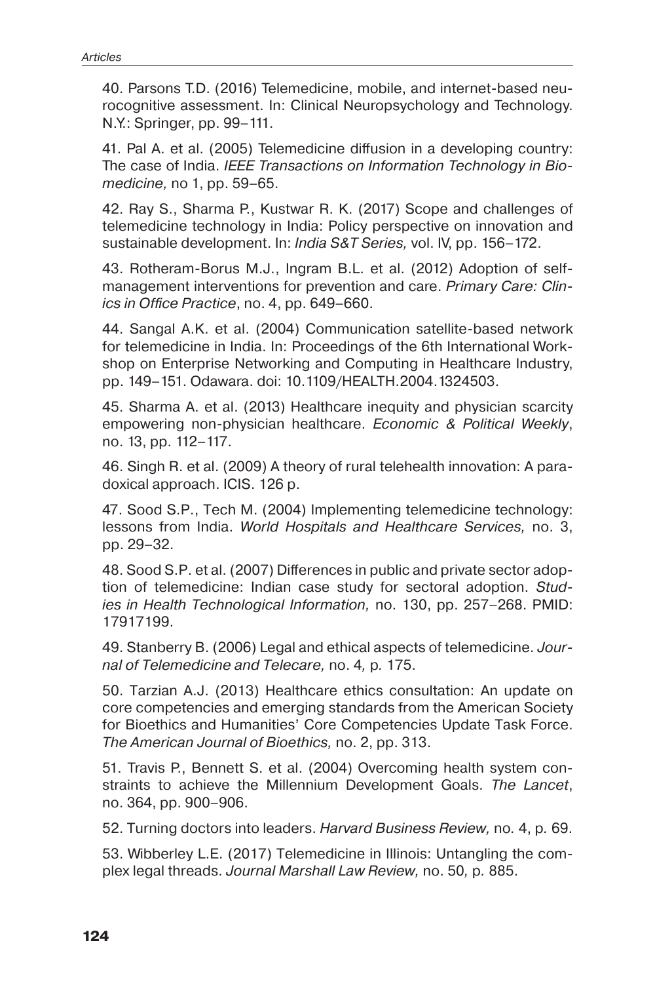40. Parsons T.D. (2016) Telemedicine, mobile, and internet-based neurocognitive assessment. In: Clinical Neuropsychology and Technology. N.Y.: Springer, pp. 99–111.

41. Pal A. et al. (2005) Telemedicine diffusion in a developing country: The case of India. *IEEE Transactions on Information Technology in Biomedicine,* no 1, pp. 59–65.

42. Ray S., Sharma P., Kustwar R. K. (2017) Scope and challenges of telemedicine technology in India: Policy perspective on innovation and sustainable development. In: *India S&T Series,* vol. IV, pp. 156–172.

43. Rotheram-Borus M.J., Ingram B.L. et al. (2012) Adoption of selfmanagement interventions for prevention and care. *Primary Care: Clinics in Office Practice*, no. 4, pp. 649–660.

44. Sangal A.K. et al. (2004) Communication satellite-based network for telemedicine in India. In: Proceedings of the 6th International Workshop on Enterprise Networking and Computing in Healthcare Industry, pp. 149–151. Odawara. doi: 10.1109/HEALTH.2004.1324503.

45. Sharma A. et al. (2013) Healthcare inequity and physician scarcity empowering non-physician healthcare. *Economic & Political Weekly*, no. 13, pp. 112–117.

46. Singh R. et al. (2009) A theory of rural telehealth innovation: A paradoxical approach. ICIS. 126 p.

47. Sood S.P., Tech M. (2004) Implementing telemedicine technology: lessons from India. *World Hospitals and Healthcare Services,* no. 3, pp. 29–32.

48. Sood S.P. et al. (2007) Differences in public and private sector adoption of telemedicine: Indian case study for sectoral adoption. *Studies in Health Technological Information,* no. 130, pp. 257–268. PMID: 17917199.

49. Stanberry B. (2006) Legal and ethical aspects of telemedicine. *Journal of Telemedicine and Telecare,* no. 4*,* p*.* 175.

50. Tarzian A.J. (2013) Healthcare ethics consultation: An update on core competencies and emerging standards from the American Society for Bioethics and Humanities' Core Competencies Update Task Force. *The American Journal of Bioethics,* no. 2, pp. 313.

51. Travis P., Bennett S. et al. (2004) Overcoming health system constraints to achieve the Millennium Development Goals. *The Lancet*, no. 364, pp. 900–906.

52. Turning doctors into leaders. *Harvard Business Review,* no*.* 4, p*.* 69.

53. Wibberley L.E. (2017) Telemedicine in Illinois: Untangling the complex legal threads. *Journal Marshall Law Review,* no. 50*,* p*.* 885.